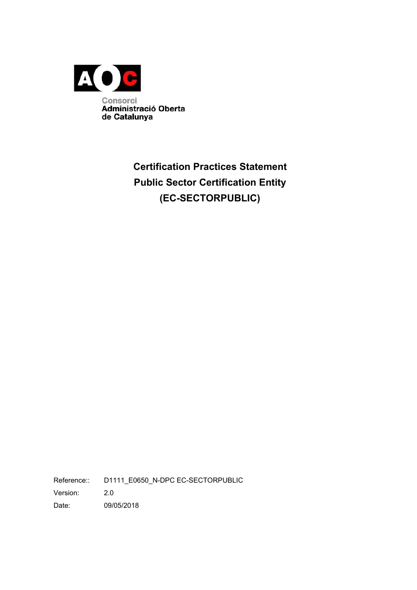

# **Certification Practices Statement Public Sector Certification Entity (EC-SECTORPUBLIC)**

Reference:: D1111\_E0650\_N-DPC EC-SECTORPUBLIC Version: 2.0 Date: 09/05/2018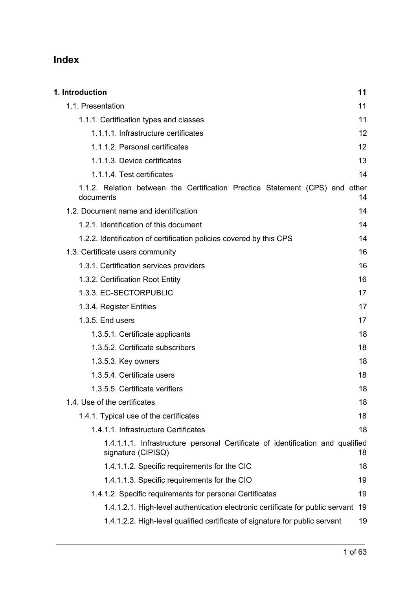## **Index**

| 1. Introduction                                                                                      | 11 |
|------------------------------------------------------------------------------------------------------|----|
| 1.1. Presentation                                                                                    | 11 |
| 1.1.1. Certification types and classes                                                               | 11 |
| 1.1.1.1. Infrastructure certificates                                                                 | 12 |
| 1.1.1.2. Personal certificates                                                                       | 12 |
| 1.1.1.3. Device certificates                                                                         | 13 |
| 1.1.1.4. Test certificates                                                                           | 14 |
| 1.1.2. Relation between the Certification Practice Statement (CPS) and other<br>documents            | 14 |
| 1.2. Document name and identification                                                                | 14 |
| 1.2.1. Identification of this document                                                               | 14 |
| 1.2.2. Identification of certification policies covered by this CPS                                  | 14 |
| 1.3. Certificate users community                                                                     | 16 |
| 1.3.1. Certification services providers                                                              | 16 |
| 1.3.2. Certification Root Entity                                                                     | 16 |
| 1.3.3. EC-SECTORPUBLIC                                                                               | 17 |
| 1.3.4. Register Entities                                                                             | 17 |
| 1.3.5. End users                                                                                     | 17 |
| 1.3.5.1. Certificate applicants                                                                      | 18 |
| 1.3.5.2. Certificate subscribers                                                                     | 18 |
| 1.3.5.3. Key owners                                                                                  | 18 |
| 1.3.5.4. Certificate users                                                                           | 18 |
| 1.3.5.5. Certificate verifiers                                                                       | 18 |
| 1.4. Use of the certificates                                                                         | 18 |
| 1.4.1. Typical use of the certificates                                                               | 18 |
| 1.4.1.1. Infrastructure Certificates                                                                 | 18 |
| 1.4.1.1.1. Infrastructure personal Certificate of identification and qualified<br>signature (CIPISQ) | 18 |
| 1.4.1.1.2. Specific requirements for the CIC                                                         | 18 |
| 1.4.1.1.3. Specific requirements for the CIO                                                         | 19 |
| 1.4.1.2. Specific requirements for personal Certificates                                             | 19 |
| 1.4.1.2.1. High-level authentication electronic certificate for public servant                       | 19 |
| 1.4.1.2.2. High-level qualified certificate of signature for public servant                          | 19 |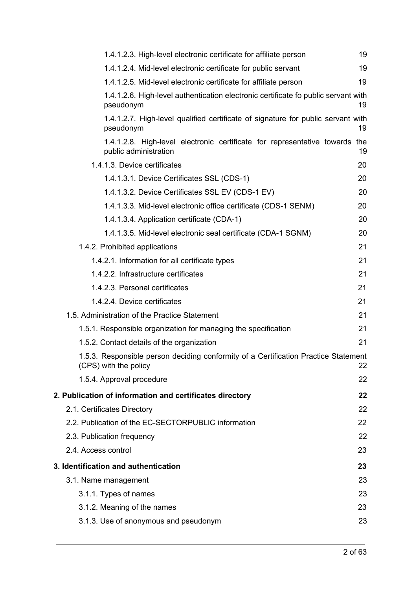| 1.4.1.2.3. High-level electronic certificate for affiliate person                                            | 19 |
|--------------------------------------------------------------------------------------------------------------|----|
| 1.4.1.2.4. Mid-level electronic certificate for public servant                                               | 19 |
| 1.4.1.2.5. Mid-level electronic certificate for affiliate person                                             | 19 |
| 1.4.1.2.6. High-level authentication electronic certificate fo public servant with<br>pseudonym              | 19 |
| 1.4.1.2.7. High-level qualified certificate of signature for public servant with<br>pseudonym                | 19 |
| 1.4.1.2.8. High-level electronic certificate for representative towards the<br>public administration         | 19 |
| 1.4.1.3. Device certificates                                                                                 | 20 |
| 1.4.1.3.1. Device Certificates SSL (CDS-1)                                                                   | 20 |
| 1.4.1.3.2. Device Certificates SSL EV (CDS-1 EV)                                                             | 20 |
| 1.4.1.3.3. Mid-level electronic office certificate (CDS-1 SENM)                                              | 20 |
| 1.4.1.3.4. Application certificate (CDA-1)                                                                   | 20 |
| 1.4.1.3.5. Mid-level electronic seal certificate (CDA-1 SGNM)                                                | 20 |
| 1.4.2. Prohibited applications                                                                               | 21 |
| 1.4.2.1. Information for all certificate types                                                               | 21 |
| 1.4.2.2. Infrastructure certificates                                                                         | 21 |
| 1.4.2.3. Personal certificates                                                                               | 21 |
| 1.4.2.4. Device certificates                                                                                 | 21 |
| 1.5. Administration of the Practice Statement                                                                | 21 |
| 1.5.1. Responsible organization for managing the specification                                               | 21 |
| 1.5.2. Contact details of the organization                                                                   | 21 |
| 1.5.3. Responsible person deciding conformity of a Certification Practice Statement<br>(CPS) with the policy | 22 |
| 1.5.4. Approval procedure                                                                                    | 22 |
| 2. Publication of information and certificates directory                                                     | 22 |
| 2.1. Certificates Directory                                                                                  | 22 |
| 2.2. Publication of the EC-SECTORPUBLIC information                                                          | 22 |
| 2.3. Publication frequency                                                                                   | 22 |
| 2.4. Access control                                                                                          | 23 |
| 3. Identification and authentication                                                                         | 23 |
| 3.1. Name management                                                                                         | 23 |
| 3.1.1. Types of names                                                                                        | 23 |
| 3.1.2. Meaning of the names                                                                                  | 23 |
| 3.1.3. Use of anonymous and pseudonym                                                                        | 23 |
|                                                                                                              |    |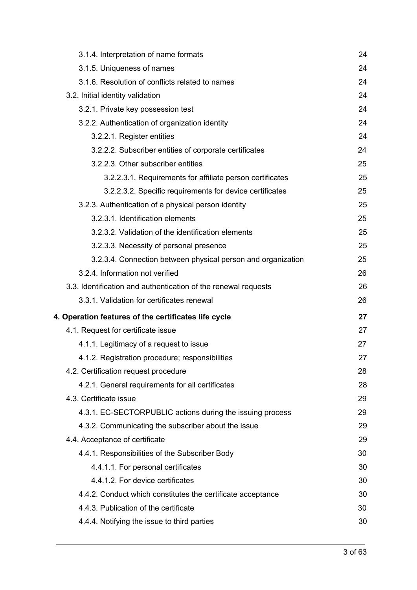| 3.1.4. Interpretation of name formats<br>3.1.5. Uniqueness of names<br>3.1.6. Resolution of conflicts related to names<br>3.2. Initial identity validation<br>3.2.1. Private key possession test<br>3.2.2. Authentication of organization identity<br>3.2.2.1. Register entities<br>3.2.2.2. Subscriber entities of corporate certificates<br>3.2.2.3. Other subscriber entities<br>3.2.2.3.1. Requirements for affiliate person certificates<br>3.2.2.3.2. Specific requirements for device certificates<br>3.2.3. Authentication of a physical person identity<br>3.2.3.1. Identification elements<br>3.2.3.2. Validation of the identification elements<br>3.2.3.3. Necessity of personal presence<br>3.2.3.4. Connection between physical person and organization<br>3.2.4. Information not verified<br>3.3. Identification and authentication of the renewal requests<br>3.3.1. Validation for certificates renewal<br>4. Operation features of the certificates life cycle<br>4.1. Request for certificate issue<br>4.1.1. Legitimacy of a request to issue<br>4.1.2. Registration procedure; responsibilities<br>4.2. Certification request procedure<br>4.2.1. General requirements for all certificates<br>4.3. Certificate issue<br>4.3.1. EC-SECTORPUBLIC actions during the issuing process<br>4.3.2. Communicating the subscriber about the issue<br>4.4. Acceptance of certificate<br>4.4.1. Responsibilities of the Subscriber Body<br>4.4.1.1. For personal certificates<br>4.4.1.2. For device certificates<br>4.4.2. Conduct which constitutes the certificate acceptance<br>4.4.3. Publication of the certificate<br>4.4.4. Notifying the issue to third parties |  |    |
|-------------------------------------------------------------------------------------------------------------------------------------------------------------------------------------------------------------------------------------------------------------------------------------------------------------------------------------------------------------------------------------------------------------------------------------------------------------------------------------------------------------------------------------------------------------------------------------------------------------------------------------------------------------------------------------------------------------------------------------------------------------------------------------------------------------------------------------------------------------------------------------------------------------------------------------------------------------------------------------------------------------------------------------------------------------------------------------------------------------------------------------------------------------------------------------------------------------------------------------------------------------------------------------------------------------------------------------------------------------------------------------------------------------------------------------------------------------------------------------------------------------------------------------------------------------------------------------------------------------------------------------------------------------------------------------|--|----|
|                                                                                                                                                                                                                                                                                                                                                                                                                                                                                                                                                                                                                                                                                                                                                                                                                                                                                                                                                                                                                                                                                                                                                                                                                                                                                                                                                                                                                                                                                                                                                                                                                                                                                     |  | 24 |
|                                                                                                                                                                                                                                                                                                                                                                                                                                                                                                                                                                                                                                                                                                                                                                                                                                                                                                                                                                                                                                                                                                                                                                                                                                                                                                                                                                                                                                                                                                                                                                                                                                                                                     |  | 24 |
|                                                                                                                                                                                                                                                                                                                                                                                                                                                                                                                                                                                                                                                                                                                                                                                                                                                                                                                                                                                                                                                                                                                                                                                                                                                                                                                                                                                                                                                                                                                                                                                                                                                                                     |  | 24 |
|                                                                                                                                                                                                                                                                                                                                                                                                                                                                                                                                                                                                                                                                                                                                                                                                                                                                                                                                                                                                                                                                                                                                                                                                                                                                                                                                                                                                                                                                                                                                                                                                                                                                                     |  | 24 |
|                                                                                                                                                                                                                                                                                                                                                                                                                                                                                                                                                                                                                                                                                                                                                                                                                                                                                                                                                                                                                                                                                                                                                                                                                                                                                                                                                                                                                                                                                                                                                                                                                                                                                     |  | 24 |
|                                                                                                                                                                                                                                                                                                                                                                                                                                                                                                                                                                                                                                                                                                                                                                                                                                                                                                                                                                                                                                                                                                                                                                                                                                                                                                                                                                                                                                                                                                                                                                                                                                                                                     |  | 24 |
|                                                                                                                                                                                                                                                                                                                                                                                                                                                                                                                                                                                                                                                                                                                                                                                                                                                                                                                                                                                                                                                                                                                                                                                                                                                                                                                                                                                                                                                                                                                                                                                                                                                                                     |  | 24 |
|                                                                                                                                                                                                                                                                                                                                                                                                                                                                                                                                                                                                                                                                                                                                                                                                                                                                                                                                                                                                                                                                                                                                                                                                                                                                                                                                                                                                                                                                                                                                                                                                                                                                                     |  | 24 |
|                                                                                                                                                                                                                                                                                                                                                                                                                                                                                                                                                                                                                                                                                                                                                                                                                                                                                                                                                                                                                                                                                                                                                                                                                                                                                                                                                                                                                                                                                                                                                                                                                                                                                     |  | 25 |
|                                                                                                                                                                                                                                                                                                                                                                                                                                                                                                                                                                                                                                                                                                                                                                                                                                                                                                                                                                                                                                                                                                                                                                                                                                                                                                                                                                                                                                                                                                                                                                                                                                                                                     |  | 25 |
|                                                                                                                                                                                                                                                                                                                                                                                                                                                                                                                                                                                                                                                                                                                                                                                                                                                                                                                                                                                                                                                                                                                                                                                                                                                                                                                                                                                                                                                                                                                                                                                                                                                                                     |  | 25 |
|                                                                                                                                                                                                                                                                                                                                                                                                                                                                                                                                                                                                                                                                                                                                                                                                                                                                                                                                                                                                                                                                                                                                                                                                                                                                                                                                                                                                                                                                                                                                                                                                                                                                                     |  | 25 |
|                                                                                                                                                                                                                                                                                                                                                                                                                                                                                                                                                                                                                                                                                                                                                                                                                                                                                                                                                                                                                                                                                                                                                                                                                                                                                                                                                                                                                                                                                                                                                                                                                                                                                     |  | 25 |
|                                                                                                                                                                                                                                                                                                                                                                                                                                                                                                                                                                                                                                                                                                                                                                                                                                                                                                                                                                                                                                                                                                                                                                                                                                                                                                                                                                                                                                                                                                                                                                                                                                                                                     |  | 25 |
|                                                                                                                                                                                                                                                                                                                                                                                                                                                                                                                                                                                                                                                                                                                                                                                                                                                                                                                                                                                                                                                                                                                                                                                                                                                                                                                                                                                                                                                                                                                                                                                                                                                                                     |  | 25 |
|                                                                                                                                                                                                                                                                                                                                                                                                                                                                                                                                                                                                                                                                                                                                                                                                                                                                                                                                                                                                                                                                                                                                                                                                                                                                                                                                                                                                                                                                                                                                                                                                                                                                                     |  | 25 |
|                                                                                                                                                                                                                                                                                                                                                                                                                                                                                                                                                                                                                                                                                                                                                                                                                                                                                                                                                                                                                                                                                                                                                                                                                                                                                                                                                                                                                                                                                                                                                                                                                                                                                     |  | 26 |
|                                                                                                                                                                                                                                                                                                                                                                                                                                                                                                                                                                                                                                                                                                                                                                                                                                                                                                                                                                                                                                                                                                                                                                                                                                                                                                                                                                                                                                                                                                                                                                                                                                                                                     |  | 26 |
|                                                                                                                                                                                                                                                                                                                                                                                                                                                                                                                                                                                                                                                                                                                                                                                                                                                                                                                                                                                                                                                                                                                                                                                                                                                                                                                                                                                                                                                                                                                                                                                                                                                                                     |  | 26 |
|                                                                                                                                                                                                                                                                                                                                                                                                                                                                                                                                                                                                                                                                                                                                                                                                                                                                                                                                                                                                                                                                                                                                                                                                                                                                                                                                                                                                                                                                                                                                                                                                                                                                                     |  | 27 |
|                                                                                                                                                                                                                                                                                                                                                                                                                                                                                                                                                                                                                                                                                                                                                                                                                                                                                                                                                                                                                                                                                                                                                                                                                                                                                                                                                                                                                                                                                                                                                                                                                                                                                     |  | 27 |
|                                                                                                                                                                                                                                                                                                                                                                                                                                                                                                                                                                                                                                                                                                                                                                                                                                                                                                                                                                                                                                                                                                                                                                                                                                                                                                                                                                                                                                                                                                                                                                                                                                                                                     |  | 27 |
|                                                                                                                                                                                                                                                                                                                                                                                                                                                                                                                                                                                                                                                                                                                                                                                                                                                                                                                                                                                                                                                                                                                                                                                                                                                                                                                                                                                                                                                                                                                                                                                                                                                                                     |  | 27 |
|                                                                                                                                                                                                                                                                                                                                                                                                                                                                                                                                                                                                                                                                                                                                                                                                                                                                                                                                                                                                                                                                                                                                                                                                                                                                                                                                                                                                                                                                                                                                                                                                                                                                                     |  | 28 |
|                                                                                                                                                                                                                                                                                                                                                                                                                                                                                                                                                                                                                                                                                                                                                                                                                                                                                                                                                                                                                                                                                                                                                                                                                                                                                                                                                                                                                                                                                                                                                                                                                                                                                     |  | 28 |
|                                                                                                                                                                                                                                                                                                                                                                                                                                                                                                                                                                                                                                                                                                                                                                                                                                                                                                                                                                                                                                                                                                                                                                                                                                                                                                                                                                                                                                                                                                                                                                                                                                                                                     |  | 29 |
|                                                                                                                                                                                                                                                                                                                                                                                                                                                                                                                                                                                                                                                                                                                                                                                                                                                                                                                                                                                                                                                                                                                                                                                                                                                                                                                                                                                                                                                                                                                                                                                                                                                                                     |  | 29 |
|                                                                                                                                                                                                                                                                                                                                                                                                                                                                                                                                                                                                                                                                                                                                                                                                                                                                                                                                                                                                                                                                                                                                                                                                                                                                                                                                                                                                                                                                                                                                                                                                                                                                                     |  | 29 |
|                                                                                                                                                                                                                                                                                                                                                                                                                                                                                                                                                                                                                                                                                                                                                                                                                                                                                                                                                                                                                                                                                                                                                                                                                                                                                                                                                                                                                                                                                                                                                                                                                                                                                     |  | 29 |
|                                                                                                                                                                                                                                                                                                                                                                                                                                                                                                                                                                                                                                                                                                                                                                                                                                                                                                                                                                                                                                                                                                                                                                                                                                                                                                                                                                                                                                                                                                                                                                                                                                                                                     |  | 30 |
|                                                                                                                                                                                                                                                                                                                                                                                                                                                                                                                                                                                                                                                                                                                                                                                                                                                                                                                                                                                                                                                                                                                                                                                                                                                                                                                                                                                                                                                                                                                                                                                                                                                                                     |  | 30 |
|                                                                                                                                                                                                                                                                                                                                                                                                                                                                                                                                                                                                                                                                                                                                                                                                                                                                                                                                                                                                                                                                                                                                                                                                                                                                                                                                                                                                                                                                                                                                                                                                                                                                                     |  | 30 |
|                                                                                                                                                                                                                                                                                                                                                                                                                                                                                                                                                                                                                                                                                                                                                                                                                                                                                                                                                                                                                                                                                                                                                                                                                                                                                                                                                                                                                                                                                                                                                                                                                                                                                     |  | 30 |
|                                                                                                                                                                                                                                                                                                                                                                                                                                                                                                                                                                                                                                                                                                                                                                                                                                                                                                                                                                                                                                                                                                                                                                                                                                                                                                                                                                                                                                                                                                                                                                                                                                                                                     |  | 30 |
|                                                                                                                                                                                                                                                                                                                                                                                                                                                                                                                                                                                                                                                                                                                                                                                                                                                                                                                                                                                                                                                                                                                                                                                                                                                                                                                                                                                                                                                                                                                                                                                                                                                                                     |  | 30 |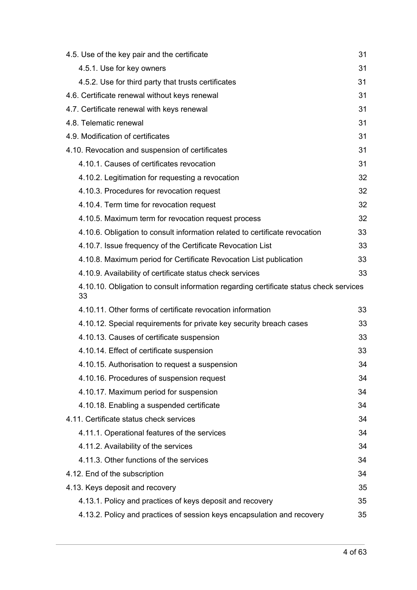| 4.5. Use of the key pair and the certificate                                                 | 31 |
|----------------------------------------------------------------------------------------------|----|
| 4.5.1. Use for key owners                                                                    | 31 |
| 4.5.2. Use for third party that trusts certificates                                          | 31 |
| 4.6. Certificate renewal without keys renewal                                                | 31 |
| 4.7. Certificate renewal with keys renewal                                                   | 31 |
| 4.8. Telematic renewal                                                                       | 31 |
| 4.9. Modification of certificates                                                            | 31 |
| 4.10. Revocation and suspension of certificates                                              | 31 |
| 4.10.1. Causes of certificates revocation                                                    | 31 |
| 4.10.2. Legitimation for requesting a revocation                                             | 32 |
| 4.10.3. Procedures for revocation request                                                    | 32 |
| 4.10.4. Term time for revocation request                                                     | 32 |
| 4.10.5. Maximum term for revocation request process                                          | 32 |
| 4.10.6. Obligation to consult information related to certificate revocation                  | 33 |
| 4.10.7. Issue frequency of the Certificate Revocation List                                   | 33 |
| 4.10.8. Maximum period for Certificate Revocation List publication                           | 33 |
| 4.10.9. Availability of certificate status check services                                    | 33 |
| 4.10.10. Obligation to consult information regarding certificate status check services<br>33 |    |
| 4.10.11. Other forms of certificate revocation information                                   | 33 |
| 4.10.12. Special requirements for private key security breach cases                          | 33 |
| 4.10.13. Causes of certificate suspension                                                    | 33 |
| 4.10.14. Effect of certificate suspension                                                    | 33 |
| 4.10.15. Authorisation to request a suspension                                               | 34 |
| 4.10.16. Procedures of suspension request                                                    | 34 |
| 4.10.17. Maximum period for suspension                                                       |    |
|                                                                                              | 34 |
| 4.10.18. Enabling a suspended certificate                                                    | 34 |
| 4.11. Certificate status check services                                                      | 34 |
| 4.11.1. Operational features of the services                                                 | 34 |
| 4.11.2. Availability of the services                                                         | 34 |
| 4.11.3. Other functions of the services                                                      | 34 |
| 4.12. End of the subscription                                                                | 34 |
| 4.13. Keys deposit and recovery                                                              | 35 |
| 4.13.1. Policy and practices of keys deposit and recovery                                    | 35 |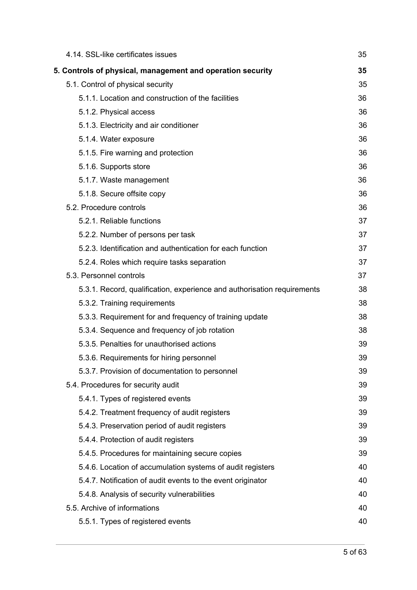| 4.14. SSL-like certificates issues                                      | 35 |
|-------------------------------------------------------------------------|----|
| 5. Controls of physical, management and operation security              | 35 |
| 5.1. Control of physical security                                       | 35 |
| 5.1.1. Location and construction of the facilities                      | 36 |
| 5.1.2. Physical access                                                  | 36 |
| 5.1.3. Electricity and air conditioner                                  | 36 |
| 5.1.4. Water exposure                                                   | 36 |
| 5.1.5. Fire warning and protection                                      | 36 |
| 5.1.6. Supports store                                                   | 36 |
| 5.1.7. Waste management                                                 | 36 |
| 5.1.8. Secure offsite copy                                              | 36 |
| 5.2. Procedure controls                                                 | 36 |
| 5.2.1. Reliable functions                                               | 37 |
| 5.2.2. Number of persons per task                                       | 37 |
| 5.2.3. Identification and authentication for each function              | 37 |
| 5.2.4. Roles which require tasks separation                             | 37 |
| 5.3. Personnel controls                                                 | 37 |
| 5.3.1. Record, qualification, experience and authorisation requirements | 38 |
| 5.3.2. Training requirements                                            | 38 |
| 5.3.3. Requirement for and frequency of training update                 | 38 |
| 5.3.4. Sequence and frequency of job rotation                           | 38 |
| 5.3.5. Penalties for unauthorised actions                               | 39 |
| 5.3.6. Requirements for hiring personnel                                | 39 |
| 5.3.7. Provision of documentation to personnel                          | 39 |
| 5.4. Procedures for security audit                                      | 39 |
| 5.4.1. Types of registered events                                       | 39 |
| 5.4.2. Treatment frequency of audit registers                           | 39 |
| 5.4.3. Preservation period of audit registers                           | 39 |
| 5.4.4. Protection of audit registers                                    | 39 |
| 5.4.5. Procedures for maintaining secure copies                         | 39 |
| 5.4.6. Location of accumulation systems of audit registers              | 40 |
| 5.4.7. Notification of audit events to the event originator             | 40 |
| 5.4.8. Analysis of security vulnerabilities                             | 40 |
| 5.5. Archive of informations                                            | 40 |
| 5.5.1. Types of registered events                                       | 40 |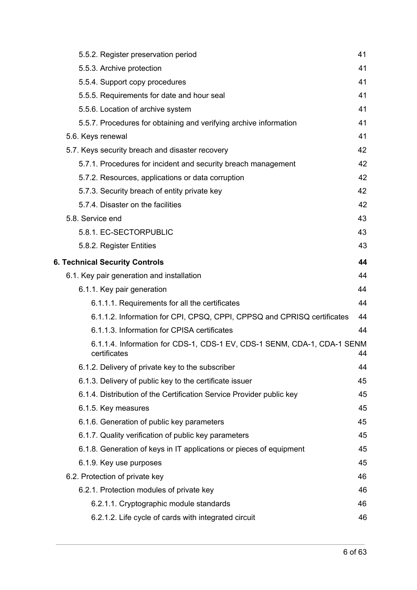| 5.5.2. Register preservation period                                                     | 41 |
|-----------------------------------------------------------------------------------------|----|
| 5.5.3. Archive protection                                                               | 41 |
| 5.5.4. Support copy procedures                                                          | 41 |
| 5.5.5. Requirements for date and hour seal                                              | 41 |
| 5.5.6. Location of archive system                                                       | 41 |
| 5.5.7. Procedures for obtaining and verifying archive information                       | 41 |
| 5.6. Keys renewal                                                                       | 41 |
| 5.7. Keys security breach and disaster recovery                                         | 42 |
| 5.7.1. Procedures for incident and security breach management                           | 42 |
| 5.7.2. Resources, applications or data corruption                                       | 42 |
| 5.7.3. Security breach of entity private key                                            | 42 |
| 5.7.4. Disaster on the facilities                                                       | 42 |
| 5.8. Service end                                                                        | 43 |
| 5.8.1. EC-SECTORPUBLIC                                                                  | 43 |
| 5.8.2. Register Entities                                                                | 43 |
| <b>6. Technical Security Controls</b>                                                   | 44 |
| 6.1. Key pair generation and installation                                               | 44 |
| 6.1.1. Key pair generation                                                              | 44 |
| 6.1.1.1. Requirements for all the certificates                                          | 44 |
| 6.1.1.2. Information for CPI, CPSQ, CPPI, CPPSQ and CPRISQ certificates                 | 44 |
| 6.1.1.3. Information for CPISA certificates                                             | 44 |
| 6.1.1.4. Information for CDS-1, CDS-1 EV, CDS-1 SENM, CDA-1, CDA-1 SENM<br>certificates | 44 |
| 6.1.2. Delivery of private key to the subscriber                                        | 44 |
| 6.1.3. Delivery of public key to the certificate issuer                                 | 45 |
| 6.1.4. Distribution of the Certification Service Provider public key                    | 45 |
| 6.1.5. Key measures                                                                     | 45 |
| 6.1.6. Generation of public key parameters                                              | 45 |
| 6.1.7. Quality verification of public key parameters                                    | 45 |
| 6.1.8. Generation of keys in IT applications or pieces of equipment                     | 45 |
| 6.1.9. Key use purposes                                                                 | 45 |
| 6.2. Protection of private key                                                          | 46 |
| 6.2.1. Protection modules of private key                                                | 46 |
| 6.2.1.1. Cryptographic module standards                                                 | 46 |
| 6.2.1.2. Life cycle of cards with integrated circuit                                    | 46 |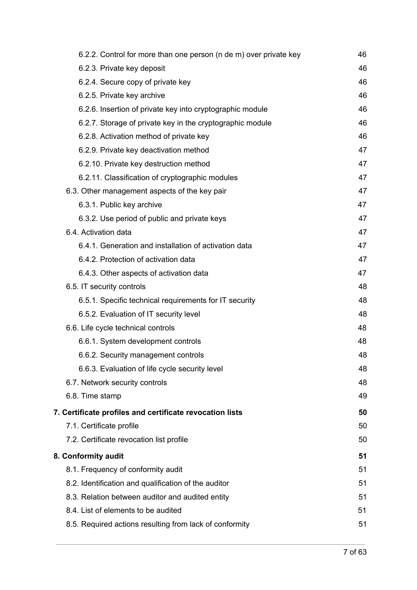| 6.2.2. Control for more than one person (n de m) over private key | 46 |
|-------------------------------------------------------------------|----|
| 6.2.3. Private key deposit                                        | 46 |
| 6.2.4. Secure copy of private key                                 | 46 |
| 6.2.5. Private key archive                                        | 46 |
| 6.2.6. Insertion of private key into cryptographic module         | 46 |
| 6.2.7. Storage of private key in the cryptographic module         | 46 |
| 6.2.8. Activation method of private key                           | 46 |
| 6.2.9. Private key deactivation method                            | 47 |
| 6.2.10. Private key destruction method                            | 47 |
| 6.2.11. Classification of cryptographic modules                   | 47 |
| 6.3. Other management aspects of the key pair                     | 47 |
| 6.3.1. Public key archive                                         | 47 |
| 6.3.2. Use period of public and private keys                      | 47 |
| 6.4. Activation data                                              | 47 |
| 6.4.1. Generation and installation of activation data             | 47 |
| 6.4.2. Protection of activation data                              | 47 |
| 6.4.3. Other aspects of activation data                           | 47 |
| 6.5. IT security controls                                         | 48 |
| 6.5.1. Specific technical requirements for IT security            | 48 |
| 6.5.2. Evaluation of IT security level                            | 48 |
| 6.6. Life cycle technical controls                                | 48 |
| 6.6.1. System development controls                                | 48 |
| 6.6.2. Security management controls                               | 48 |
| 6.6.3. Evaluation of life cycle security level                    | 48 |
| 6.7. Network security controls                                    | 48 |
| 6.8. Time stamp                                                   | 49 |
| 7. Certificate profiles and certificate revocation lists          | 50 |
| 7.1. Certificate profile                                          | 50 |
| 7.2. Certificate revocation list profile                          | 50 |
| 8. Conformity audit                                               | 51 |
| 8.1. Frequency of conformity audit                                | 51 |
| 8.2. Identification and qualification of the auditor              | 51 |
| 8.3. Relation between auditor and audited entity                  | 51 |
| 8.4. List of elements to be audited                               | 51 |
| 8.5. Required actions resulting from lack of conformity           | 51 |
|                                                                   |    |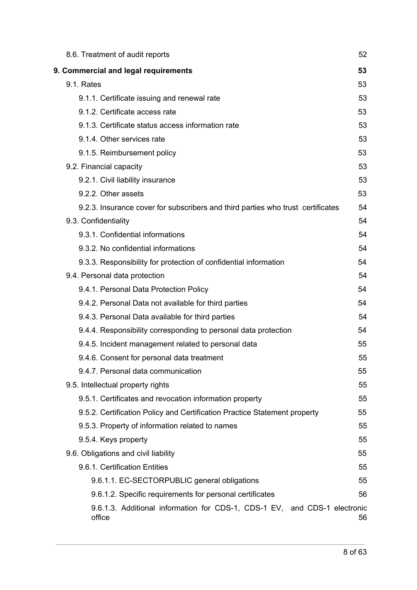| 8.6. Treatment of audit reports                                                     | 52 |
|-------------------------------------------------------------------------------------|----|
| 9. Commercial and legal requirements                                                | 53 |
| 9.1. Rates                                                                          | 53 |
| 9.1.1. Certificate issuing and renewal rate                                         | 53 |
| 9.1.2. Certificate access rate                                                      | 53 |
| 9.1.3. Certificate status access information rate                                   | 53 |
| 9.1.4. Other services rate                                                          | 53 |
| 9.1.5. Reimbursement policy                                                         | 53 |
| 9.2. Financial capacity                                                             | 53 |
| 9.2.1. Civil liability insurance                                                    | 53 |
| 9.2.2. Other assets                                                                 | 53 |
| 9.2.3. Insurance cover for subscribers and third parties who trust certificates     | 54 |
| 9.3. Confidentiality                                                                | 54 |
| 9.3.1. Confidential informations                                                    | 54 |
| 9.3.2. No confidential informations                                                 | 54 |
| 9.3.3. Responsibility for protection of confidential information                    | 54 |
| 9.4. Personal data protection                                                       | 54 |
| 9.4.1. Personal Data Protection Policy                                              | 54 |
| 9.4.2. Personal Data not available for third parties                                | 54 |
| 9.4.3. Personal Data available for third parties                                    | 54 |
| 9.4.4. Responsibility corresponding to personal data protection                     | 54 |
| 9.4.5. Incident management related to personal data                                 | 55 |
| 9.4.6. Consent for personal data treatment                                          | 55 |
| 9.4.7. Personal data communication                                                  | 55 |
| 9.5. Intellectual property rights                                                   | 55 |
| 9.5.1. Certificates and revocation information property                             | 55 |
| 9.5.2. Certification Policy and Certification Practice Statement property           | 55 |
| 9.5.3. Property of information related to names                                     | 55 |
| 9.5.4. Keys property                                                                | 55 |
| 9.6. Obligations and civil liability                                                | 55 |
| 9.6.1. Certification Entities                                                       | 55 |
| 9.6.1.1. EC-SECTORPUBLIC general obligations                                        | 55 |
| 9.6.1.2. Specific requirements for personal certificates                            | 56 |
| 9.6.1.3. Additional information for CDS-1, CDS-1 EV, and CDS-1 electronic<br>office | 56 |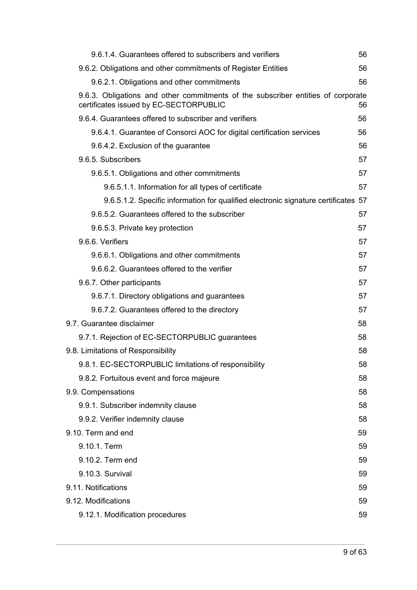| 9.6.1.4. Guarantees offered to subscribers and verifiers                                                                   | 56 |
|----------------------------------------------------------------------------------------------------------------------------|----|
| 9.6.2. Obligations and other commitments of Register Entities                                                              | 56 |
| 9.6.2.1. Obligations and other commitments                                                                                 | 56 |
| 9.6.3. Obligations and other commitments of the subscriber entities of corporate<br>certificates issued by EC-SECTORPUBLIC | 56 |
| 9.6.4. Guarantees offered to subscriber and verifiers                                                                      | 56 |
| 9.6.4.1. Guarantee of Consorci AOC for digital certification services                                                      | 56 |
| 9.6.4.2. Exclusion of the guarantee                                                                                        | 56 |
| 9.6.5. Subscribers                                                                                                         | 57 |
| 9.6.5.1. Obligations and other commitments                                                                                 | 57 |
| 9.6.5.1.1. Information for all types of certificate                                                                        | 57 |
| 9.6.5.1.2. Specific information for qualified electronic signature certificates 57                                         |    |
| 9.6.5.2. Guarantees offered to the subscriber                                                                              | 57 |
| 9.6.5.3. Private key protection                                                                                            | 57 |
| 9.6.6. Verifiers                                                                                                           | 57 |
| 9.6.6.1. Obligations and other commitments                                                                                 | 57 |
| 9.6.6.2. Guarantees offered to the verifier                                                                                | 57 |
| 9.6.7. Other participants                                                                                                  | 57 |
| 9.6.7.1. Directory obligations and guarantees                                                                              | 57 |
| 9.6.7.2. Guarantees offered to the directory                                                                               | 57 |
| 9.7. Guarantee disclaimer                                                                                                  | 58 |
| 9.7.1. Rejection of EC-SECTORPUBLIC guarantees                                                                             | 58 |
| 9.8. Limitations of Responsibility                                                                                         | 58 |
| 9.8.1. EC-SECTORPUBLIC limitations of responsibility                                                                       | 58 |
| 9.8.2. Fortuitous event and force majeure                                                                                  | 58 |
| 9.9. Compensations                                                                                                         | 58 |
| 9.9.1. Subscriber indemnity clause                                                                                         | 58 |
| 9.9.2. Verifier indemnity clause                                                                                           | 58 |
| 9.10. Term and end                                                                                                         | 59 |
| 9.10.1. Term                                                                                                               | 59 |
| 9.10.2. Term end                                                                                                           | 59 |
| 9.10.3. Survival                                                                                                           | 59 |
| 9.11. Notifications                                                                                                        | 59 |
| 9.12. Modifications                                                                                                        | 59 |
| 9.12.1. Modification procedures                                                                                            | 59 |
|                                                                                                                            |    |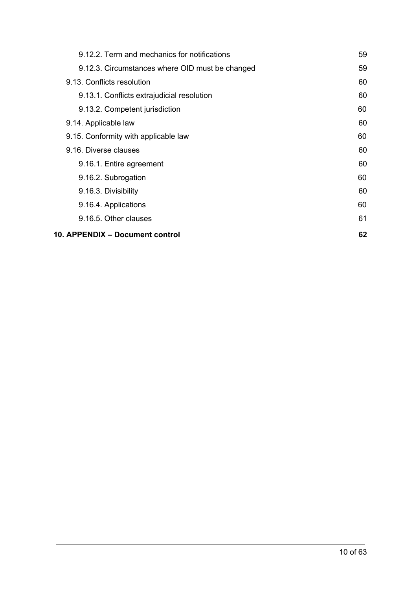| 9.12.2. Term and mechanics for notifications    | 59 |
|-------------------------------------------------|----|
| 9.12.3. Circumstances where OID must be changed | 59 |
| 9.13. Conflicts resolution                      | 60 |
| 9.13.1. Conflicts extrajudicial resolution      | 60 |
| 9.13.2. Competent jurisdiction                  | 60 |
| 9.14. Applicable law                            | 60 |
| 9.15. Conformity with applicable law            | 60 |
| 9.16. Diverse clauses                           | 60 |
| 9.16.1. Entire agreement                        | 60 |
| 9.16.2. Subrogation                             | 60 |
| 9.16.3. Divisibility                            | 60 |
| 9.16.4. Applications                            | 60 |
| 9.16.5. Other clauses                           | 61 |
| 10. APPENDIX – Document control                 | 62 |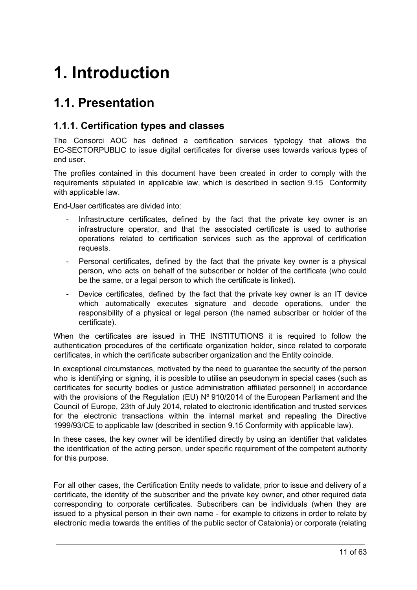# <span id="page-11-0"></span>**1. Introduction**

# <span id="page-11-1"></span>**1.1. Presentation**

### <span id="page-11-2"></span>**1.1.1. Certification types and classes**

The Consorci AOC has defined a certification services typology that allows the EC-SECTORPUBLlC to issue digital certificates for diverse uses towards various types of end user.

The profiles contained in this document have been created in order to comply with the requirements stipulated in applicable law, which is described in section 9.15 Conformity with applicable law.

End-User certificates are divided into:

- Infrastructure certificates, defined by the fact that the private key owner is an infrastructure operator, and that the associated certificate is used to authorise operations related to certification services such as the approval of certification requests.
- Personal certificates, defined by the fact that the private key owner is a physical person, who acts on behalf of the subscriber or holder of the certificate (who could be the same, or a legal person to which the certificate is linked).
- Device certificates, defined by the fact that the private key owner is an IT device which automatically executes signature and decode operations, under the responsibility of a physical or legal person (the named subscriber or holder of the certificate).

When the certificates are issued in THE INSTITUTIONS it is required to follow the authentication procedures of the certificate organization holder, since related to corporate certificates, in which the certificate subscriber organization and the Entity coincide.

In exceptional circumstances, motivated by the need to guarantee the security of the person who is identifying or signing, it is possible to utilise an pseudonym in special cases (such as certificates for security bodies or justice administration affiliated personnel) in accordance with the provisions of the Regulation (EU)  $N^{\circ}$  910/2014 of the European Parliament and the Council of Europe, 23th of July 2014, related to electronic identification and trusted services for the electronic transactions within the internal market and repealing the Directive 1999/93/CE to applicable law (described in section 9.15 Conformity with applicable law).

In these cases, the key owner will be identified directly by using an identifier that validates the identification of the acting person, under specific requirement of the competent authority for this purpose.

For all other cases, the Certification Entity needs to validate, prior to issue and delivery of a certificate, the identity of the subscriber and the private key owner, and other required data corresponding to corporate certificates. Subscribers can be individuals (when they are issued to a physical person in their own name - for example to citizens in order to relate by electronic media towards the entities of the public sector of Catalonia) or corporate (relating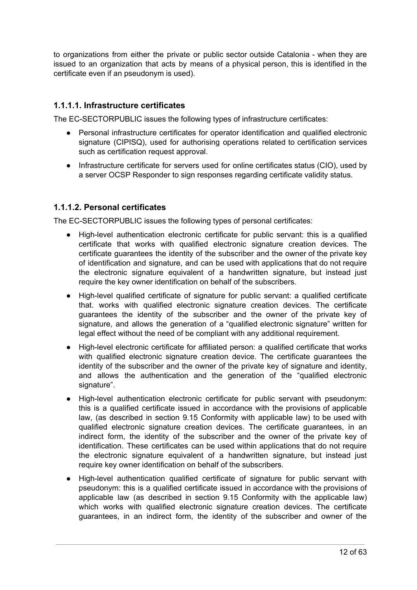to organizations from either the private or public sector outside Catalonia - when they are issued to an organization that acts by means of a physical person, this is identified in the certificate even if an pseudonym is used).

#### <span id="page-12-0"></span>**1.1.1.1. Infrastructure certificates**

The EC-SECTORPUBLIC issues the following types of infrastructure certificates:

- Personal infrastructure certificates for operator identification and qualified electronic signature (CIPISQ), used for authorising operations related to certification services such as certification request approval.
- Infrastructure certificate for servers used for online certificates status (CIO), used by a server OCSP Responder to sign responses regarding certificate validity status.

#### <span id="page-12-1"></span>**1.1.1.2. Personal certificates**

The EC-SECTORPUBLIC issues the following types of personal certificates:

- High-level authentication electronic certificate for public servant: this is a qualified certificate that works with qualified electronic signature creation devices. The certificate guarantees the identity of the subscriber and the owner of the private key of identification and signature, and can be used with applications that do not require the electronic signature equivalent of a handwritten signature, but instead just require the key owner identification on behalf of the subscribers.
- High-level qualified certificate of signature for public servant: a qualified certificate that. works with qualified electronic signature creation devices. The certificate guarantees the identity of the subscriber and the owner of the private key of signature, and allows the generation of a "qualified electronic signature" written for legal effect without the need of be compliant with any additional requirement.
- High-level electronic certificate for affiliated person: a qualified certificate that works with qualified electronic signature creation device. The certificate guarantees the identity of the subscriber and the owner of the private key of signature and identity, and allows the authentication and the generation of the "qualified electronic signature".
- High-level authentication electronic certificate for public servant with pseudonym: this is a qualified certificate issued in accordance with the provisions of applicable law, (as described in section 9.15 Conformity with applicable law) to be used with qualified electronic signature creation devices. The certificate guarantees, in an indirect form, the identity of the subscriber and the owner of the private key of identification. These certificates can be used within applications that do not require the electronic signature equivalent of a handwritten signature, but instead just require key owner identification on behalf of the subscribers.
- High-level authentication qualified certificate of signature for public servant with pseudonym: this is a qualified certificate issued in accordance with the provisions of applicable law (as described in section 9.15 Conformity with the applicable law) which works with qualified electronic signature creation devices. The certificate guarantees, in an indirect form, the identity of the subscriber and owner of the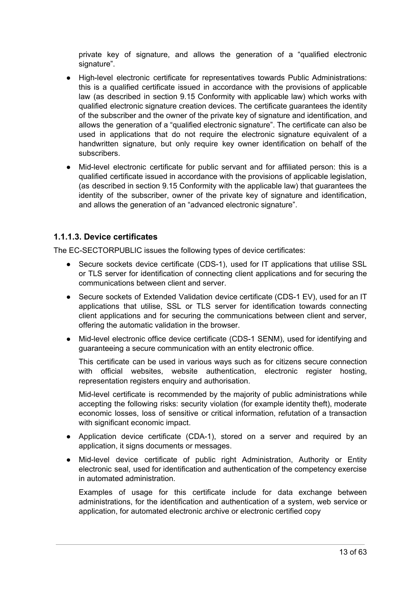private key of signature, and allows the generation of a "qualified electronic signature".

- High-level electronic certificate for representatives towards Public Administrations: this is a qualified certificate issued in accordance with the provisions of applicable law (as described in section 9.15 Conformity with applicable law) which works with qualified electronic signature creation devices. The certificate guarantees the identity of the subscriber and the owner of the private key of signature and identification, and allows the generation of a "qualified electronic signature". The certificate can also be used in applications that do not require the electronic signature equivalent of a handwritten signature, but only require key owner identification on behalf of the subscribers.
- Mid-level electronic certificate for public servant and for affiliated person: this is a qualified certificate issued in accordance with the provisions of applicable legislation, (as described in section 9.15 Conformity with the applicable law) that guarantees the identity of the subscriber, owner of the private key of signature and identification, and allows the generation of an "advanced electronic signature".

#### <span id="page-13-0"></span>**1.1.1.3. Device certificates**

The EC-SECTORPUBLIC issues the following types of device certificates:

- Secure sockets device certificate (CDS-1), used for IT applications that utilise SSL or TLS server for identification of connecting client applications and for securing the communications between client and server.
- Secure sockets of Extended Validation device certificate (CDS-1 EV), used for an IT applications that utilise, SSL or TLS server for identification towards connecting client applications and for securing the communications between client and server, offering the automatic validation in the browser.
- Mid-level electronic office device certificate (CDS-1 SENM), used for identifying and guaranteeing a secure communication with an entity electronic office.

This certificate can be used in various ways such as for citizens secure connection with official websites, website authentication, electronic register hosting, representation registers enquiry and authorisation.

Mid-level certificate is recommended by the majority of public administrations while accepting the following risks: security violation (for example identity theft), moderate economic losses, loss of sensitive or critical information, refutation of a transaction with significant economic impact.

- Application device certificate (CDA-1), stored on a server and required by an application, it signs documents or messages.
- Mid-level device certificate of public right Administration, Authority or Entity electronic seal, used for identification and authentication of the competency exercise in automated administration.

Examples of usage for this certificate include for data exchange between administrations, for the identification and authentication of a system, web service or application, for automated electronic archive or electronic certified copy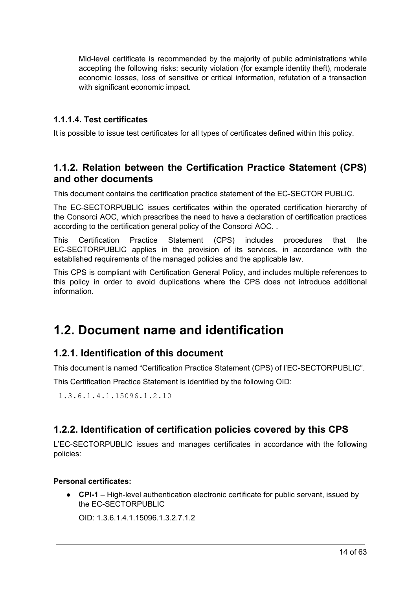Mid-level certificate is recommended by the majority of public administrations while accepting the following risks: security violation (for example identity theft), moderate economic losses, loss of sensitive or critical information, refutation of a transaction with significant economic impact.

#### <span id="page-14-0"></span>**1.1.1.4. Test certificates**

It is possible to issue test certificates for all types of certificates defined within this policy.

### <span id="page-14-1"></span>**1.1.2. Relation between the Certification Practice Statement (CPS) and other documents**

This document contains the certification practice statement of the EC-SECTOR PUBLIC.

The EC-SECTORPUBLIC issues certificates within the operated certification hierarchy of the Consorci AOC, which prescribes the need to have a declaration of certification practices according to the certification general policy of the Consorci AOC. .

This Certification Practice Statement (CPS) includes procedures that the EC-SECTORPUBLIC applies in the provision of its services, in accordance with the established requirements of the managed policies and the applicable law.

This CPS is compliant with Certification General Policy, and includes multiple references to this policy in order to avoid duplications where the CPS does not introduce additional information.

# <span id="page-14-2"></span>**1.2. Document name and identification**

### <span id="page-14-3"></span>**1.2.1. Identification of this document**

This document is named "Certification Practice Statement (CPS) of l'EC-SECTORPUBLIC".

This Certification Practice Statement is identified by the following OID:

1.3.6.1.4.1.15096.1.2.10

### <span id="page-14-4"></span>**1.2.2. Identification of certification policies covered by this CPS**

L'EC-SECTORPUBLIC issues and manages certificates in accordance with the following policies:

#### **Personal certificates:**

● **CPI-1** – High-level authentication electronic certificate for public servant, issued by the EC-SECTORPUBLIC

OID: 1.3.6.1.4.1.15096.1.3.2.7.1.2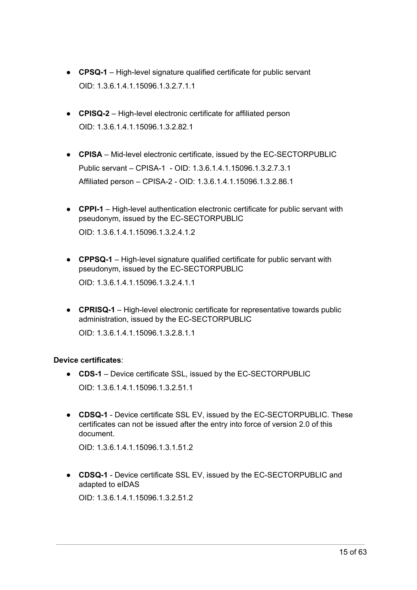- **CPSQ-1** High-level signature qualified certificate for public servant OID: 1.3.6.1.4.1.15096.1.3.2.7.1.1
- **CPISQ-2** High-level electronic certificate for affiliated person OID: 1.3.6.1.4.1.15096.1.3.2.82.1
- **CPISA** Mid-level electronic certificate, issued by the EC-SECTORPUBLIC Public servant – CPISA-1 - OID: 1.3.6.1.4.1.15096.1.3.2.7.3.1 Affiliated person – CPISA-2 - OID: 1.3.6.1.4.1.15096.1.3.2.86.1
- **CPPI-1** High-level authentication electronic certificate for public servant with pseudonym, issued by the EC-SECTORPUBLIC OID: 1.3.6.1.4.1.15096.1.3.2.4.1.2
- **CPPSQ-1** High-level signature qualified certificate for public servant with pseudonym, issued by the EC-SECTORPUBLIC OID: 1.3.6.1.4.1.15096.1.3.2.4.1.1

● **CPRISQ-1** – High-level electronic certificate for representative towards public administration, issued by the EC-SECTORPUBLIC

OID: 1.3.6.1.4.1.15096.1.3.2.8.1.1

#### **Device certificates**:

- **CDS-1** Device certificate SSL, issued by the EC-SECTORPUBLIC OID: 1.3.6.1.4.1.15096.1.3.2.51.1
- **CDSQ-1** Device certificate SSL EV, issued by the EC-SECTORPUBLIC. These certificates can not be issued after the entry into force of version 2.0 of this document.

OID: 1.3.6.1.4.1.15096.1.3.1.51.2

● **CDSQ-1** - Device certificate SSL EV, issued by the EC-SECTORPUBLIC and adapted to eIDAS

OID: 1.3.6.1.4.1.15096.1.3.2.51.2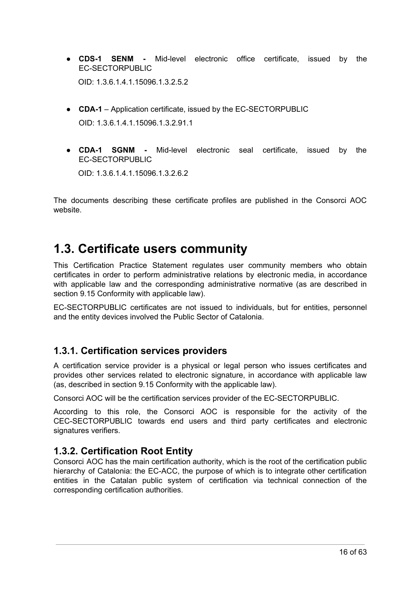- **CDS-1 SENM -** Mid-level electronic office certificate, issued by the EC-SECTORPUBLIC OID: 1.3.6.1.4.1.15096.1.3.2.5.2
- **CDA-1** Application certificate, issued by the EC-SECTORPUBLIC OID: 1.3.6.1.4.1.15096.1.3.2.91.1
- **CDA-1 SGNM -** Mid-level electronic seal certificate, issued by the EC-SECTORPUBLIC

OID: 1.3.6.1.4.1.15096.1.3.2.6.2

The documents describing these certificate profiles are published in the Consorci AOC website.

# <span id="page-16-0"></span>**1.3. Certificate users community**

This Certification Practice Statement regulates user community members who obtain certificates in order to perform administrative relations by electronic media, in accordance with applicable law and the corresponding administrative normative (as are described in section 9.15 Conformity with applicable law).

EC-SECTORPUBLIC certificates are not issued to individuals, but for entities, personnel and the entity devices involved the Public Sector of Catalonia.

### <span id="page-16-1"></span>**1.3.1. Certification services providers**

A certification service provider is a physical or legal person who issues certificates and provides other services related to electronic signature, in accordance with applicable law (as, described in section 9.15 Conformity with the applicable law).

Consorci AOC will be the certification services provider of the EC-SECTORPUBLIC.

According to this role, the Consorci AOC is responsible for the activity of the CEC-SECTORPUBLIC towards end users and third party certificates and electronic signatures verifiers.

### <span id="page-16-2"></span>**1.3.2. Certification Root Entity**

Consorci AOC has the main certification authority, which is the root of the certification public hierarchy of Catalonia: the EC-ACC, the purpose of which is to integrate other certification entities in the Catalan public system of certification via technical connection of the corresponding certification authorities.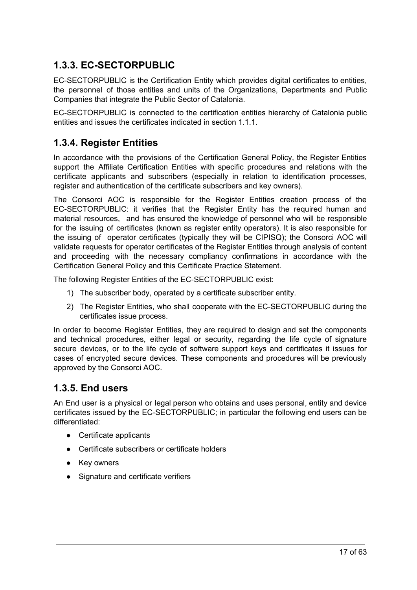### <span id="page-17-0"></span>**1.3.3. EC-SECTORPUBLIC**

EC-SECTORPUBLIC is the Certification Entity which provides digital certificates to entities, the personnel of those entities and units of the Organizations, Departments and Public Companies that integrate the Public Sector of Catalonia.

EC-SECTORPUBLIC is connected to the certification entities hierarchy of Catalonia public entities and issues the certificates indicated in section 1.1.1.

### <span id="page-17-1"></span>**1.3.4. Register Entities**

In accordance with the provisions of the Certification General Policy, the Register Entities support the Affiliate Certification Entities with specific procedures and relations with the certificate applicants and subscribers (especially in relation to identification processes, register and authentication of the certificate subscribers and key owners).

The Consorci AOC is responsible for the Register Entities creation process of the EC-SECTORPUBLIC: it verifies that the Register Entity has the required human and material resources, and has ensured the knowledge of personnel who will be responsible for the issuing of certificates (known as register entity operators). It is also responsible for the issuing of operator certificates (typically they will be CIPISQ); the Consorci AOC will validate requests for operator certificates of the Register Entities through analysis of content and proceeding with the necessary compliancy confirmations in accordance with the Certification General Policy and this Certificate Practice Statement.

The following Register Entities of the EC-SECTORPUBLIC exist:

- 1) The subscriber body, operated by a certificate subscriber entity.
- 2) The Register Entities, who shall cooperate with the EC-SECTORPUBLIC during the certificates issue process.

In order to become Register Entities, they are required to design and set the components and technical procedures, either legal or security, regarding the life cycle of signature secure devices, or to the life cycle of software support keys and certificates it issues for cases of encrypted secure devices. These components and procedures will be previously approved by the Consorci AOC.

### <span id="page-17-2"></span>**1.3.5. End users**

An End user is a physical or legal person who obtains and uses personal, entity and device certificates issued by the EC-SECTORPUBLIC; in particular the following end users can be differentiated:

- Certificate applicants
- Certificate subscribers or certificate holders
- Key owners
- Signature and certificate verifiers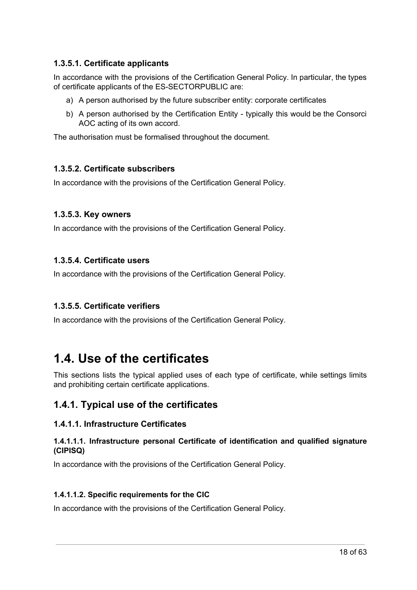#### <span id="page-18-0"></span>**1.3.5.1. Certificate applicants**

In accordance with the provisions of the Certification General Policy. In particular, the types of certificate applicants of the ES-SECTORPUBLIC are:

- a) A person authorised by the future subscriber entity: corporate certificates
- b) A person authorised by the Certification Entity typically this would be the Consorci AOC acting of its own accord.

The authorisation must be formalised throughout the document.

#### <span id="page-18-1"></span>**1.3.5.2. Certificate subscribers**

In accordance with the provisions of the Certification General Policy.

#### <span id="page-18-2"></span>**1.3.5.3. Key owners**

In accordance with the provisions of the Certification General Policy.

#### <span id="page-18-3"></span>**1.3.5.4. Certificate users**

In accordance with the provisions of the Certification General Policy.

#### <span id="page-18-4"></span>**1.3.5.5. Certificate verifiers**

In accordance with the provisions of the Certification General Policy.

## <span id="page-18-5"></span>**1.4. Use of the certificates**

This sections lists the typical applied uses of each type of certificate, while settings limits and prohibiting certain certificate applications.

#### <span id="page-18-6"></span>**1.4.1. Typical use of the certificates**

#### <span id="page-18-7"></span>**1.4.1.1. Infrastructure Certificates**

#### <span id="page-18-8"></span>**1.4.1.1.1. Infrastructure personal Certificate of identification and qualified signature (CIPISQ)**

In accordance with the provisions of the Certification General Policy.

#### <span id="page-18-9"></span>**1.4.1.1.2. Specific requirements for the CIC**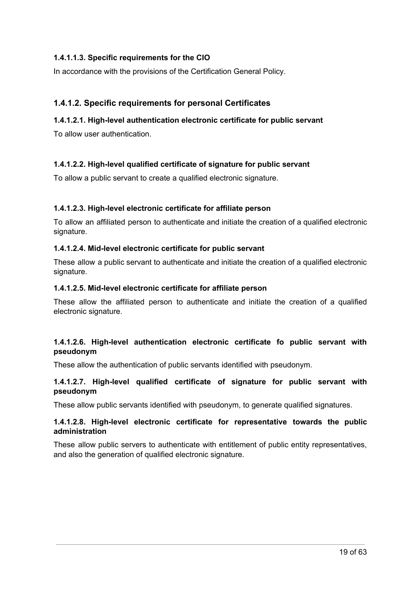#### <span id="page-19-0"></span>**1.4.1.1.3. Specific requirements for the CIO**

In accordance with the provisions of the Certification General Policy.

#### <span id="page-19-1"></span>**1.4.1.2. Specific requirements for personal Certificates**

#### <span id="page-19-2"></span>**1.4.1.2.1. High-level authentication electronic certificate for public servant**

To allow user authentication.

#### <span id="page-19-3"></span>**1.4.1.2.2. High-level qualified certificate of signature for public servant**

To allow a public servant to create a qualified electronic signature.

#### <span id="page-19-4"></span>**1.4.1.2.3. High-level electronic certificate for affiliate person**

To allow an affiliated person to authenticate and initiate the creation of a qualified electronic signature.

#### <span id="page-19-5"></span>**1.4.1.2.4. Mid-level electronic certificate for public servant**

These allow a public servant to authenticate and initiate the creation of a qualified electronic signature.

#### <span id="page-19-6"></span>**1.4.1.2.5. Mid-level electronic certificate for affiliate person**

These allow the affiliated person to authenticate and initiate the creation of a qualified electronic signature.

#### <span id="page-19-7"></span>**1.4.1.2.6. High-level authentication electronic certificate fo public servant with pseudonym**

These allow the authentication of public servants identified with pseudonym.

#### <span id="page-19-8"></span>**1.4.1.2.7. High-level qualified certificate of signature for public servant with pseudonym**

These allow public servants identified with pseudonym, to generate qualified signatures.

#### <span id="page-19-9"></span>**1.4.1.2.8. High-level electronic certificate for representative towards the public administration**

These allow public servers to authenticate with entitlement of public entity representatives, and also the generation of qualified electronic signature.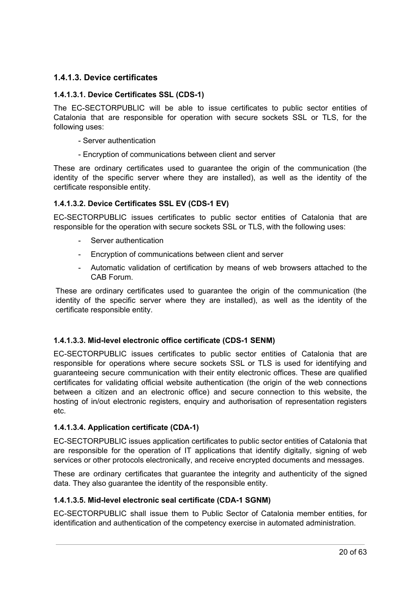#### <span id="page-20-0"></span>**1.4.1.3. Device certificates**

#### <span id="page-20-1"></span>**1.4.1.3.1. Device Certificates SSL (CDS-1)**

The EC-SECTORPUBLIC will be able to issue certificates to public sector entities of Catalonia that are responsible for operation with secure sockets SSL or TLS, for the following uses:

- Server authentication
- Encryption of communications between client and server

These are ordinary certificates used to guarantee the origin of the communication (the identity of the specific server where they are installed), as well as the identity of the certificate responsible entity.

#### <span id="page-20-2"></span>**1.4.1.3.2. Device Certificates SSL EV (CDS-1 EV)**

EC-SECTORPUBLIC issues certificates to public sector entities of Catalonia that are responsible for the operation with secure sockets SSL or TLS, with the following uses:

- Server authentication
- Encryption of communications between client and server
- Automatic validation of certification by means of web browsers attached to the CAB Forum.

These are ordinary certificates used to guarantee the origin of the communication (the identity of the specific server where they are installed), as well as the identity of the certificate responsible entity.

#### <span id="page-20-3"></span>**1.4.1.3.3. Mid-level electronic office certificate (CDS-1 SENM)**

EC-SECTORPUBLIC issues certificates to public sector entities of Catalonia that are responsible for operations where secure sockets SSL or TLS is used for identifying and guaranteeing secure communication with their entity electronic offices. These are qualified certificates for validating official website authentication (the origin of the web connections between a citizen and an electronic office) and secure connection to this website, the hosting of in/out electronic registers, enquiry and authorisation of representation registers etc.

#### <span id="page-20-4"></span>**1.4.1.3.4. Application certificate (CDA-1)**

EC-SECTORPUBLIC issues application certificates to public sector entities of Catalonia that are responsible for the operation of IT applications that identify digitally, signing of web services or other protocols electronically, and receive encrypted documents and messages.

These are ordinary certificates that guarantee the integrity and authenticity of the signed data. They also guarantee the identity of the responsible entity.

#### <span id="page-20-5"></span>**1.4.1.3.5. Mid-level electronic seal certificate (CDA-1 SGNM)**

EC-SECTORPUBLIC shall issue them to Public Sector of Catalonia member entities, for identification and authentication of the competency exercise in automated administration.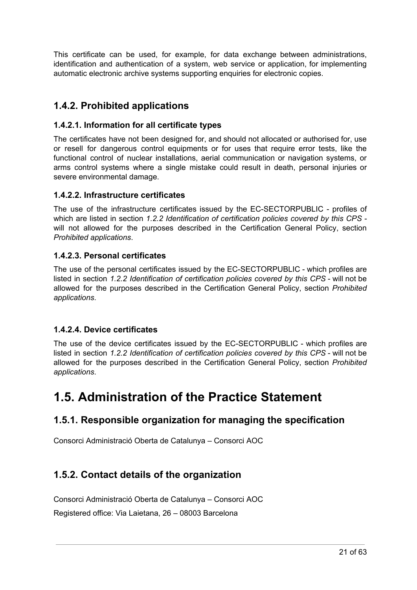This certificate can be used, for example, for data exchange between administrations, identification and authentication of a system, web service or application, for implementing automatic electronic archive systems supporting enquiries for electronic copies.

### <span id="page-21-0"></span>**1.4.2. Prohibited applications**

#### <span id="page-21-1"></span>**1.4.2.1. Information for all certificate types**

The certificates have not been designed for, and should not allocated or authorised for, use or resell for dangerous control equipments or for uses that require error tests, like the functional control of nuclear installations, aerial communication or navigation systems, or arms control systems where a single mistake could result in death, personal injuries or severe environmental damage.

#### <span id="page-21-2"></span>**1.4.2.2. Infrastructure certificates**

The use of the infrastructure certificates issued by the EC-SECTORPUBLIC - profiles of which are listed in section *1.2.2 Identification of certification policies covered by this CPS* will not allowed for the purposes described in the Certification General Policy, section *Prohibited applications*.

#### <span id="page-21-3"></span>**1.4.2.3. Personal certificates**

The use of the personal certificates issued by the EC-SECTORPUBLIC - which profiles are listed in section *1.2.2 Identification of certification policies covered by this CPS* - will not be allowed for the purposes described in the Certification General Policy, section *Prohibited applications*.

#### <span id="page-21-4"></span>**1.4.2.4. Device certificates**

The use of the device certificates issued by the EC-SECTORPUBLIC - which profiles are listed in section *1.2.2 Identification of certification policies covered by this CPS* - will not be allowed for the purposes described in the Certification General Policy, section *Prohibited applications*.

# <span id="page-21-5"></span>**1.5. Administration of the Practice Statement**

### <span id="page-21-6"></span>**1.5.1. Responsible organization for managing the specification**

Consorci Administració Oberta de Catalunya – Consorci AOC

### <span id="page-21-7"></span>**1.5.2. Contact details of the organization**

Consorci Administració Oberta de Catalunya – Consorci AOC

Registered office: Via Laietana, 26 – 08003 Barcelona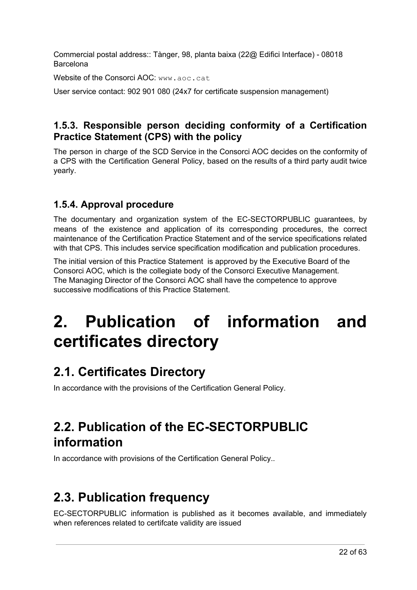Commercial postal address:: Tànger, 98, planta baixa (22@ Edifici Interface) - 08018 Barcelona

Website of the Consorci AOC: [www.aoc.cat](http://www.aoc.cat/)

User service contact: 902 901 080 (24x7 for certificate suspension management)

### <span id="page-22-0"></span>**1.5.3. Responsible person deciding conformity of a Certification Practice Statement (CPS) with the policy**

The person in charge of the SCD Service in the Consorci AOC decides on the conformity of a CPS with the Certification General Policy, based on the results of a third party audit twice yearly.

### <span id="page-22-1"></span>**1.5.4. Approval procedure**

The documentary and organization system of the EC-SECTORPUBLIC guarantees, by means of the existence and application of its corresponding procedures, the correct maintenance of the Certification Practice Statement and of the service specifications related with that CPS. This includes service specification modification and publication procedures.

The initial version of this Practice Statement is approved by the Executive Board of the Consorci AOC, which is the collegiate body of the Consorci Executive Management. The Managing Director of the Consorci AOC shall have the competence to approve successive modifications of this Practice Statement.

# <span id="page-22-2"></span>**2. Publication of information and certificates directory**

# <span id="page-22-3"></span>**2.1. Certificates Directory**

In accordance with the provisions of the Certification General Policy.

# <span id="page-22-4"></span>**2.2. Publication of the EC-SECTORPUBLIC information**

In accordance with provisions of the Certification General Policy..

# <span id="page-22-5"></span>**2.3. Publication frequency**

EC-SECTORPUBLIC information is published as it becomes available, and immediately when references related to certifcate validity are issued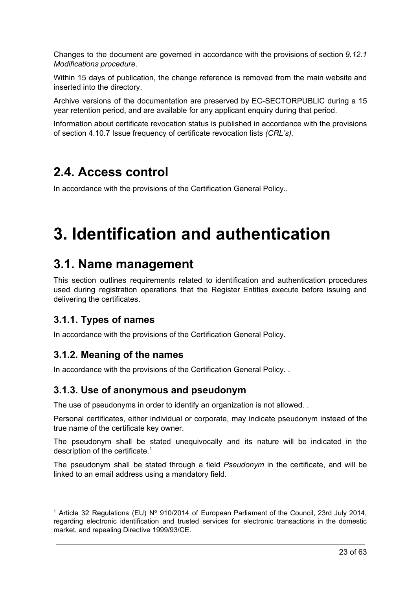Changes to the document are governed in accordance with the provisions of section *9.12.1 Modifications procedure*.

Within 15 days of publication, the change reference is removed from the main website and inserted into the directory.

Archive versions of the documentation are preserved by EC-SECTORPUBLIC during a 15 year retention period, and are available for any applicant enquiry during that period.

Information about certificate revocation status is published in accordance with the provisions of section 4.10.7 Issue frequency of certificate revocation lists *(CRL's).*

# <span id="page-23-0"></span>**2.4. Access control**

In accordance with the provisions of the Certification General Policy..

# <span id="page-23-1"></span>**3. Identification and authentication**

## <span id="page-23-2"></span>**3.1. Name management**

This section outlines requirements related to identification and authentication procedures used during registration operations that the Register Entities execute before issuing and delivering the certificates.

### <span id="page-23-3"></span>**3.1.1. Types of names**

In accordance with the provisions of the Certification General Policy.

### <span id="page-23-4"></span>**3.1.2. Meaning of the names**

In accordance with the provisions of the Certification General Policy. .

#### <span id="page-23-5"></span>**3.1.3. Use of anonymous and pseudonym**

The use of pseudonyms in order to identify an organization is not allowed. .

Personal certificates, either individual or corporate, may indicate pseudonym instead of the true name of the certificate key owner.

The pseudonym shall be stated unequivocally and its nature will be indicated in the description of the certificate. 1

The pseudonym shall be stated through a field *Pseudonym* in the certificate, and will be linked to an email address using a mandatory field.

<sup>1</sup> Article 32 Regulations (EU) Nº 910/2014 of European Parliament of the Council, 23rd July 2014, regarding electronic identification and trusted services for electronic transactions in the domestic market, and repealing Directive 1999/93/CE.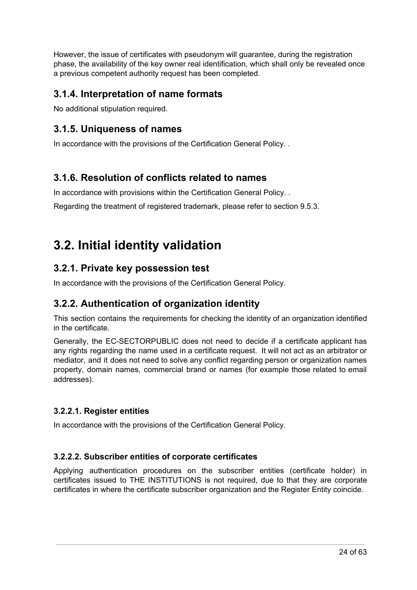However, the issue of certificates with pseudonym will guarantee, during the registration phase, the availability of the key owner real identification, which shall only be revealed once a previous competent authority request has been completed.

### <span id="page-24-0"></span>**3.1.4. Interpretation of name formats**

No additional stipulation required.

### <span id="page-24-1"></span>**3.1.5. Uniqueness of names**

In accordance with the provisions of the Certification General Policy. .

### <span id="page-24-2"></span>**3.1.6. Resolution of conflicts related to names**

In accordance with provisions within the Certification General Policy. .

Regarding the treatment of registered trademark, please refer to section 9.5.3.

# <span id="page-24-3"></span>**3.2. Initial identity validation**

#### <span id="page-24-4"></span>**3.2.1. Private key possession test**

In accordance with the provisions of the Certification General Policy.

### <span id="page-24-5"></span>**3.2.2. Authentication of organization identity**

This section contains the requirements for checking the identity of an organization identified in the certificate.

Generally, the EC-SECTORPUBLIC does not need to decide if a certificate applicant has any rights regarding the name used in a certificate request. It will not act as an arbitrator or mediator, and it does not need to solve any conflict regarding person or organization names property, domain names, commercial brand or names (for example those related to email addresses).

#### <span id="page-24-6"></span>**3.2.2.1. Register entities**

In accordance with the provisions of the Certification General Policy.

#### <span id="page-24-7"></span>**3.2.2.2. Subscriber entities of corporate certificates**

Applying authentication procedures on the subscriber entities (certificate holder) in certificates issued to THE INSTITUTIONS is not required, due to that they are corporate certificates in where the certificate subscriber organization and the Register Entity coincide.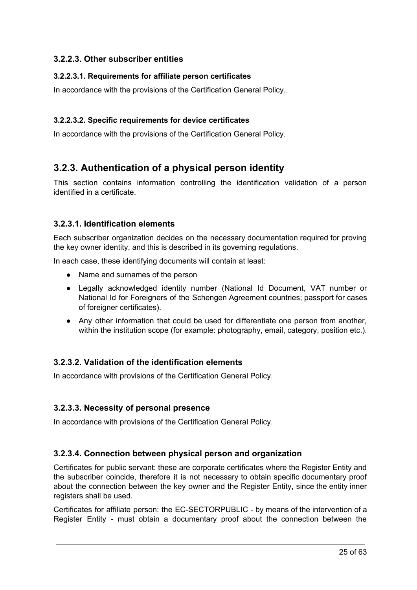#### <span id="page-25-0"></span>**3.2.2.3. Other subscriber entities**

#### <span id="page-25-1"></span>**3.2.2.3.1. Requirements for affiliate person certificates**

In accordance with the provisions of the Certification General Policy..

#### <span id="page-25-2"></span>**3.2.2.3.2. Specific requirements for device certificates**

In accordance with the provisions of the Certification General Policy.

### <span id="page-25-3"></span>**3.2.3. Authentication of a physical person identity**

This section contains information controlling the identification validation of a person identified in a certificate.

#### <span id="page-25-4"></span>**3.2.3.1. Identification elements**

Each subscriber organization decides on the necessary documentation required for proving the key owner identity, and this is described in its governing regulations.

In each case, these identifying documents will contain at least:

- Name and surnames of the person
- Legally acknowledged identity number (National Id Document, VAT number or National Id for Foreigners of the Schengen Agreement countries; passport for cases of foreigner certificates).
- Any other information that could be used for differentiate one person from another, within the institution scope (for example: photography, email, category, position etc.).

#### <span id="page-25-5"></span>**3.2.3.2. Validation of the identification elements**

In accordance with provisions of the Certification General Policy.

#### <span id="page-25-6"></span>**3.2.3.3. Necessity of personal presence**

In accordance with provisions of the Certification General Policy.

#### <span id="page-25-7"></span>**3.2.3.4. Connection between physical person and organization**

Certificates for public servant: these are corporate certificates where the Register Entity and the subscriber coincide, therefore it is not necessary to obtain specific documentary proof about the connection between the key owner and the Register Entity, since the entity inner registers shall be used.

Certificates for affiliate person: the EC-SECTORPUBLIC - by means of the intervention of a Register Entity - must obtain a documentary proof about the connection between the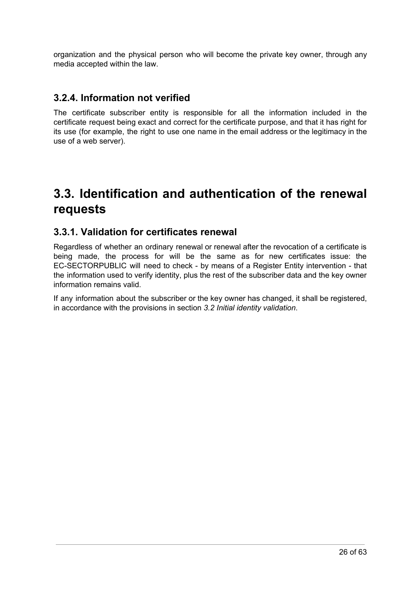organization and the physical person who will become the private key owner, through any media accepted within the law.

#### <span id="page-26-0"></span>**3.2.4. Information not verified**

The certificate subscriber entity is responsible for all the information included in the certificate request being exact and correct for the certificate purpose, and that it has right for its use (for example, the right to use one name in the email address or the legitimacy in the use of a web server).

# <span id="page-26-1"></span>**3.3. Identification and authentication of the renewal requests**

#### <span id="page-26-2"></span>**3.3.1. Validation for certificates renewal**

Regardless of whether an ordinary renewal or renewal after the revocation of a certificate is being made, the process for will be the same as for new certificates issue: the EC-SECTORPUBLIC will need to check - by means of a Register Entity intervention - that the information used to verify identity, plus the rest of the subscriber data and the key owner information remains valid.

If any information about the subscriber or the key owner has changed, it shall be registered, in accordance with the provisions in section *3.2 Initial identity validation*.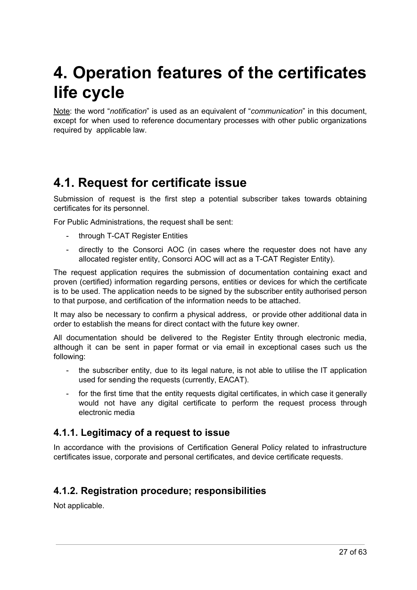# <span id="page-27-0"></span>**4. Operation features of the certificates life cycle**

Note: the word "*notification*" is used as an equivalent of "*communication*" in this document, except for when used to reference documentary processes with other public organizations required by applicable law.

# <span id="page-27-1"></span>**4.1. Request for certificate issue**

Submission of request is the first step a potential subscriber takes towards obtaining certificates for its personnel.

For Public Administrations, the request shall be sent:

- through T-CAT Register Entities
- directly to the Consorci AOC (in cases where the requester does not have any allocated register entity, Consorci AOC will act as a T-CAT Register Entity).

The request application requires the submission of documentation containing exact and proven (certified) information regarding persons, entities or devices for which the certificate is to be used. The application needs to be signed by the subscriber entity authorised person to that purpose, and certification of the information needs to be attached.

It may also be necessary to confirm a physical address, or provide other additional data in order to establish the means for direct contact with the future key owner.

All documentation should be delivered to the Register Entity through electronic media, although it can be sent in paper format or via email in exceptional cases such us the following:

- the subscriber entity, due to its legal nature, is not able to utilise the IT application used for sending the requests (currently, EACAT).
- for the first time that the entity requests digital certificates, in which case it generally would not have any digital certificate to perform the request process through electronic media

#### <span id="page-27-2"></span>**4.1.1. Legitimacy of a request to issue**

In accordance with the provisions of Certification General Policy related to infrastructure certificates issue, corporate and personal certificates, and device certificate requests.

### <span id="page-27-3"></span>**4.1.2. Registration procedure; responsibilities**

Not applicable.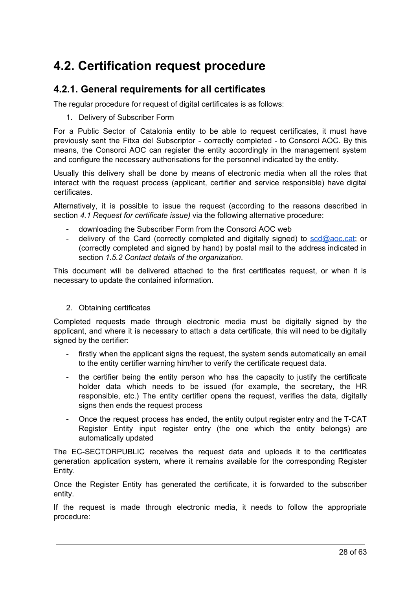# <span id="page-28-0"></span>**4.2. Certification request procedure**

#### <span id="page-28-1"></span>**4.2.1. General requirements for all certificates**

The regular procedure for request of digital certificates is as follows:

1. Delivery of Subscriber Form

For a Public Sector of Catalonia entity to be able to request certificates, it must have previously sent the Fitxa del Subscriptor - correctly completed - to Consorci AOC. By this means, the Consorci AOC can register the entity accordingly in the management system and configure the necessary authorisations for the personnel indicated by the entity.

Usually this delivery shall be done by means of electronic media when all the roles that interact with the request process (applicant, certifier and service responsible) have digital certificates.

Alternatively, it is possible to issue the request (according to the reasons described in section *4.1 Request for certificate issue)* via the following alternative procedure:

- downloading the Subscriber Form from the Consorci AOC web
- delivery of the Card (correctly completed and digitally signed) to  $scd@acc.cat$ ; or (correctly completed and signed by hand) by postal mail to the address indicated in section *1.5.2 Contact details of the organization*.

This document will be delivered attached to the first certificates request, or when it is necessary to update the contained information.

#### 2. Obtaining certificates

Completed requests made through electronic media must be digitally signed by the applicant, and where it is necessary to attach a data certificate, this will need to be digitally signed by the certifier:

- firstly when the applicant signs the request, the system sends automatically an email to the entity certifier warning him/her to verify the certificate request data.
- the certifier being the entity person who has the capacity to justify the certificate holder data which needs to be issued (for example, the secretary, the HR responsible, etc.) The entity certifier opens the request, verifies the data, digitally signs then ends the request process
- Once the request process has ended, the entity output register entry and the T-CAT Register Entity input register entry (the one which the entity belongs) are automatically updated

The EC-SECTORPUBLIC receives the request data and uploads it to the certificates generation application system, where it remains available for the corresponding Register Entity.

Once the Register Entity has generated the certificate, it is forwarded to the subscriber entity.

If the request is made through electronic media, it needs to follow the appropriate procedure: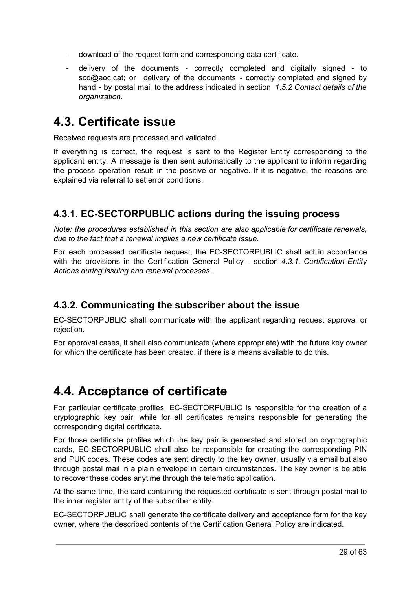- download of the request form and corresponding data certificate.
- delivery of the documents correctly completed and digitally signed to scd@aoc.cat; or delivery of the documents - correctly completed and signed by hand - by postal mail to the address indicated in section *1.5.2 Contact details of the organization.*

# <span id="page-29-0"></span>**4.3. Certificate issue**

Received requests are processed and validated.

If everything is correct, the request is sent to the Register Entity corresponding to the applicant entity. A message is then sent automatically to the applicant to inform regarding the process operation result in the positive or negative. If it is negative, the reasons are explained via referral to set error conditions.

### <span id="page-29-1"></span>**4.3.1. EC-SECTORPUBLIC actions during the issuing process**

*Note: the procedures established in this section are also applicable for certificate renewals, due to the fact that a renewal implies a new certificate issue.*

For each processed certificate request, the EC-SECTORPUBLIC shall act in accordance with the provisions in the Certification General Policy - section *4.3.1. Certification Entity Actions during issuing and renewal processes*.

### <span id="page-29-2"></span>**4.3.2. Communicating the subscriber about the issue**

EC-SECTORPUBLIC shall communicate with the applicant regarding request approval or rejection.

For approval cases, it shall also communicate (where appropriate) with the future key owner for which the certificate has been created, if there is a means available to do this.

# <span id="page-29-3"></span>**4.4. Acceptance of certificate**

For particular certificate profiles, EC-SECTORPUBLIC is responsible for the creation of a cryptographic key pair, while for all certificates remains responsible for generating the corresponding digital certificate.

For those certificate profiles which the key pair is generated and stored on cryptographic cards, EC-SECTORPUBLIC shall also be responsible for creating the corresponding PIN and PUK codes. These codes are sent directly to the key owner, usually via email but also through postal mail in a plain envelope in certain circumstances. The key owner is be able to recover these codes anytime through the telematic application.

At the same time, the card containing the requested certificate is sent through postal mail to the inner register entity of the subscriber entity.

EC-SECTORPUBLIC shall generate the certificate delivery and acceptance form for the key owner, where the described contents of the Certification General Policy are indicated.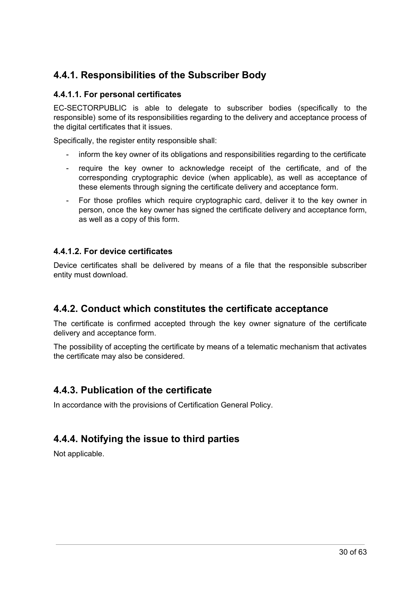### <span id="page-30-0"></span>**4.4.1. Responsibilities of the Subscriber Body**

#### <span id="page-30-1"></span>**4.4.1.1. For personal certificates**

EC-SECTORPUBLIC is able to delegate to subscriber bodies (specifically to the responsible) some of its responsibilities regarding to the delivery and acceptance process of the digital certificates that it issues.

Specifically, the register entity responsible shall:

- inform the key owner of its obligations and responsibilities regarding to the certificate
- require the key owner to acknowledge receipt of the certificate, and of the corresponding cryptographic device (when applicable), as well as acceptance of these elements through signing the certificate delivery and acceptance form.
- For those profiles which require cryptographic card, deliver it to the key owner in person, once the key owner has signed the certificate delivery and acceptance form, as well as a copy of this form.

#### <span id="page-30-2"></span>**4.4.1.2. For device certificates**

Device certificates shall be delivered by means of a file that the responsible subscriber entity must download.

#### <span id="page-30-3"></span>**4.4.2. Conduct which constitutes the certificate acceptance**

The certificate is confirmed accepted through the key owner signature of the certificate delivery and acceptance form.

The possibility of accepting the certificate by means of a telematic mechanism that activates the certificate may also be considered.

#### <span id="page-30-4"></span>**4.4.3. Publication of the certificate**

In accordance with the provisions of Certification General Policy.

### <span id="page-30-5"></span>**4.4.4. Notifying the issue to third parties**

Not applicable.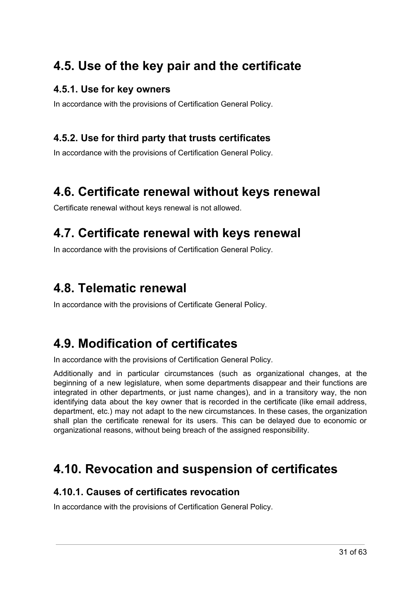# <span id="page-31-0"></span>**4.5. Use of the key pair and the certificate**

#### <span id="page-31-1"></span>**4.5.1. Use for key owners**

In accordance with the provisions of Certification General Policy.

### <span id="page-31-2"></span>**4.5.2. Use for third party that trusts certificates**

In accordance with the provisions of Certification General Policy.

# <span id="page-31-3"></span>**4.6. Certificate renewal without keys renewal**

Certificate renewal without keys renewal is not allowed.

# <span id="page-31-4"></span>**4.7. Certificate renewal with keys renewal**

In accordance with the provisions of Certification General Policy.

# <span id="page-31-5"></span>**4.8. Telematic renewal**

In accordance with the provisions of Certificate General Policy.

# <span id="page-31-6"></span>**4.9. Modification of certificates**

In accordance with the provisions of Certification General Policy.

Additionally and in particular circumstances (such as organizational changes, at the beginning of a new legislature, when some departments disappear and their functions are integrated in other departments, or just name changes), and in a transitory way, the non identifying data about the key owner that is recorded in the certificate (like email address, department, etc.) may not adapt to the new circumstances. In these cases, the organization shall plan the certificate renewal for its users. This can be delayed due to economic or organizational reasons, without being breach of the assigned responsibility.

# <span id="page-31-7"></span>**4.10. Revocation and suspension of certificates**

#### <span id="page-31-8"></span>**4.10.1. Causes of certificates revocation**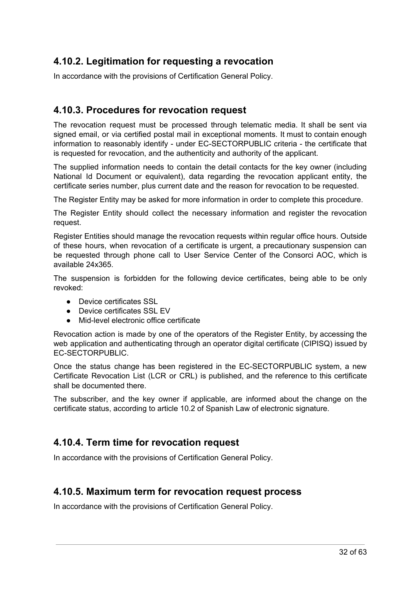### <span id="page-32-0"></span>**4.10.2. Legitimation for requesting a revocation**

In accordance with the provisions of Certification General Policy.

#### <span id="page-32-1"></span>**4.10.3. Procedures for revocation request**

The revocation request must be processed through telematic media. It shall be sent via signed email, or via certified postal mail in exceptional moments. It must to contain enough information to reasonably identify - under EC-SECTORPUBLIC criteria - the certificate that is requested for revocation, and the authenticity and authority of the applicant.

The supplied information needs to contain the detail contacts for the key owner (including National Id Document or equivalent), data regarding the revocation applicant entity, the certificate series number, plus current date and the reason for revocation to be requested.

The Register Entity may be asked for more information in order to complete this procedure.

The Register Entity should collect the necessary information and register the revocation request.

Register Entities should manage the revocation requests within regular office hours. Outside of these hours, when revocation of a certificate is urgent, a precautionary suspension can be requested through phone call to User Service Center of the Consorci AOC, which is available 24x365.

The suspension is forbidden for the following device certificates, being able to be only revoked:

- Device certificates SSL
- Device certificates SSL EV
- Mid-level electronic office certificate

Revocation action is made by one of the operators of the Register Entity, by accessing the web application and authenticating through an operator digital certificate (CIPISQ) issued by EC-SECTORPUBLIC.

Once the status change has been registered in the EC-SECTORPUBLIC system, a new Certificate Revocation List (LCR or CRL) is published, and the reference to this certificate shall be documented there.

The subscriber, and the key owner if applicable, are informed about the change on the certificate status, according to article 10.2 of Spanish Law of electronic signature.

#### <span id="page-32-2"></span>**4.10.4. Term time for revocation request**

In accordance with the provisions of Certification General Policy.

#### <span id="page-32-3"></span>**4.10.5. Maximum term for revocation request process**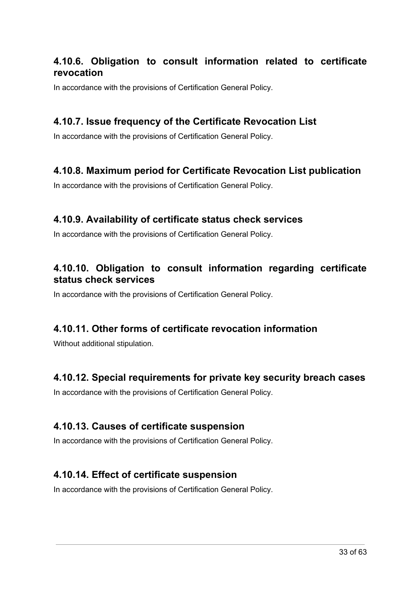### <span id="page-33-0"></span>**4.10.6. Obligation to consult information related to certificate revocation**

In accordance with the provisions of Certification General Policy.

#### <span id="page-33-1"></span>**4.10.7. Issue frequency of the Certificate Revocation List**

In accordance with the provisions of Certification General Policy.

#### <span id="page-33-2"></span>**4.10.8. Maximum period for Certificate Revocation List publication**

In accordance with the provisions of Certification General Policy.

#### <span id="page-33-3"></span>**4.10.9. Availability of certificate status check services**

In accordance with the provisions of Certification General Policy.

### <span id="page-33-4"></span>**4.10.10. Obligation to consult information regarding certificate status check services**

In accordance with the provisions of Certification General Policy.

#### <span id="page-33-5"></span>**4.10.11. Other forms of certificate revocation information**

Without additional stipulation.

### <span id="page-33-6"></span>**4.10.12. Special requirements for private key security breach cases**

In accordance with the provisions of Certification General Policy.

#### <span id="page-33-7"></span>**4.10.13. Causes of certificate suspension**

In accordance with the provisions of Certification General Policy.

#### <span id="page-33-8"></span>**4.10.14. Effect of certificate suspension**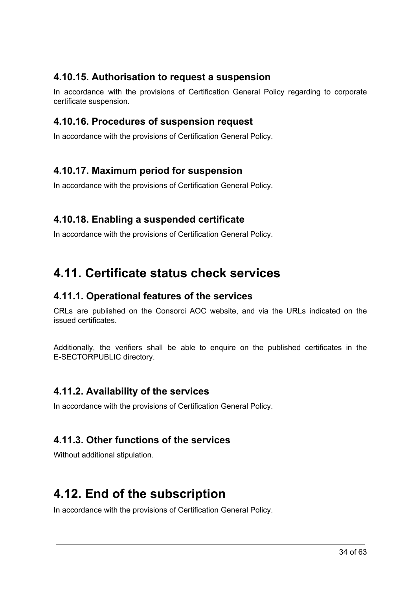### <span id="page-34-0"></span>**4.10.15. Authorisation to request a suspension**

In accordance with the provisions of Certification General Policy regarding to corporate certificate suspension.

#### <span id="page-34-1"></span>**4.10.16. Procedures of suspension request**

In accordance with the provisions of Certification General Policy.

#### <span id="page-34-2"></span>**4.10.17. Maximum period for suspension**

In accordance with the provisions of Certification General Policy.

#### <span id="page-34-3"></span>**4.10.18. Enabling a suspended certificate**

In accordance with the provisions of Certification General Policy.

# <span id="page-34-4"></span>**4.11. Certificate status check services**

#### <span id="page-34-5"></span>**4.11.1. Operational features of the services**

CRLs are published on the Consorci AOC website, and via the URLs indicated on the issued certificates.

Additionally, the verifiers shall be able to enquire on the published certificates in the E-SECTORPUBLIC directory.

#### <span id="page-34-6"></span>**4.11.2. Availability of the services**

In accordance with the provisions of Certification General Policy.

### <span id="page-34-7"></span>**4.11.3. Other functions of the services**

Without additional stipulation.

## <span id="page-34-8"></span>**4.12. End of the subscription**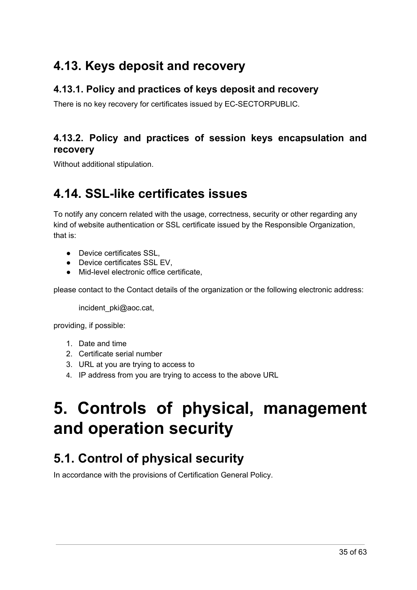# <span id="page-35-0"></span>**4.13. Keys deposit and recovery**

### <span id="page-35-1"></span>**4.13.1. Policy and practices of keys deposit and recovery**

There is no key recovery for certificates issued by EC-SECTORPUBLIC.

### <span id="page-35-2"></span>**4.13.2. Policy and practices of session keys encapsulation and recovery**

<span id="page-35-3"></span>Without additional stipulation.

# **4.14. SSL-like certificates issues**

To notify any concern related with the usage, correctness, security or other regarding any kind of website authentication or SSL certificate issued by the Responsible Organization, that is:

- Device certificates SSL,
- Device certificates SSL EV.
- Mid-level electronic office certificate,

please contact to the Contact details of the organization or the following electronic address:

incident\_pki@aoc.cat,

providing, if possible:

- 1. Date and time
- 2. Certificate serial number
- 3. URL at you are trying to access to
- 4. IP address from you are trying to access to the above URL

# <span id="page-35-4"></span>**5. Controls of physical, management and operation security**

# <span id="page-35-5"></span>**5.1. Control of physical security**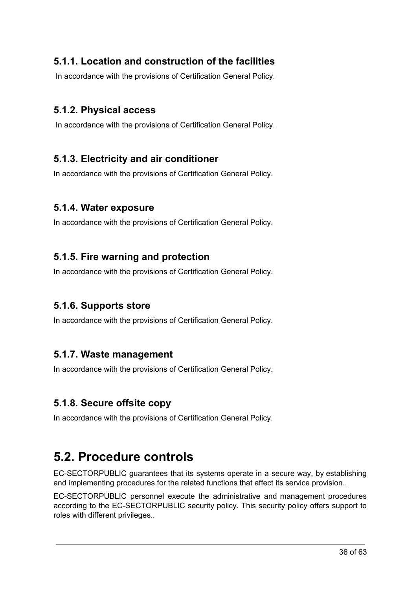### <span id="page-36-0"></span>**5.1.1. Location and construction of the facilities**

In accordance with the provisions of Certification General Policy.

#### <span id="page-36-1"></span>**5.1.2. Physical access**

In accordance with the provisions of Certification General Policy.

#### <span id="page-36-2"></span>**5.1.3. Electricity and air conditioner**

In accordance with the provisions of Certification General Policy.

#### <span id="page-36-3"></span>**5.1.4. Water exposure**

In accordance with the provisions of Certification General Policy.

#### <span id="page-36-4"></span>**5.1.5. Fire warning and protection**

In accordance with the provisions of Certification General Policy.

#### <span id="page-36-5"></span>**5.1.6. Supports store**

In accordance with the provisions of Certification General Policy.

#### <span id="page-36-6"></span>**5.1.7. Waste management**

In accordance with the provisions of Certification General Policy.

#### <span id="page-36-7"></span>**5.1.8. Secure offsite copy**

In accordance with the provisions of Certification General Policy.

# <span id="page-36-8"></span>**5.2. Procedure controls**

EC-SECTORPUBLIC guarantees that its systems operate in a secure way, by establishing and implementing procedures for the related functions that affect its service provision..

EC-SECTORPUBLIC personnel execute the administrative and management procedures according to the EC-SECTORPUBLIC security policy. This security policy offers support to roles with different privileges..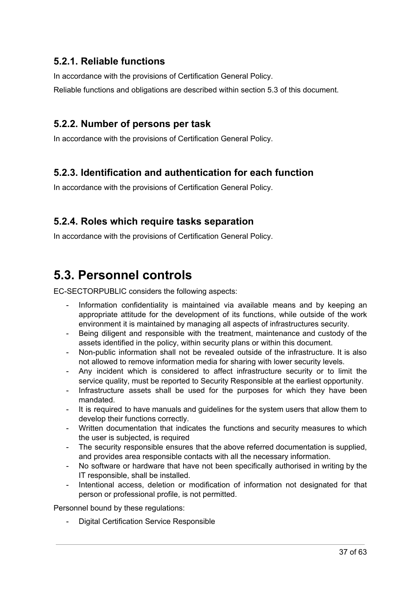### <span id="page-37-0"></span>**5.2.1. Reliable functions**

In accordance with the provisions of Certification General Policy.

Reliable functions and obligations are described within section 5.3 of this document.

#### <span id="page-37-1"></span>**5.2.2. Number of persons per task**

In accordance with the provisions of Certification General Policy.

### <span id="page-37-2"></span>**5.2.3. Identification and authentication for each function**

In accordance with the provisions of Certification General Policy.

### <span id="page-37-3"></span>**5.2.4. Roles which require tasks separation**

In accordance with the provisions of Certification General Policy.

# <span id="page-37-4"></span>**5.3. Personnel controls**

EC-SECTORPUBLIC considers the following aspects:

- Information confidentiality is maintained via available means and by keeping an appropriate attitude for the development of its functions, while outside of the work environment it is maintained by managing all aspects of infrastructures security.
- Being diligent and responsible with the treatment, maintenance and custody of the assets identified in the policy, within security plans or within this document.
- Non-public information shall not be revealed outside of the infrastructure. It is also not allowed to remove information media for sharing with lower security levels.
- Any incident which is considered to affect infrastructure security or to limit the service quality, must be reported to Security Responsible at the earliest opportunity.
- Infrastructure assets shall be used for the purposes for which they have been mandated.
- It is required to have manuals and guidelines for the system users that allow them to develop their functions correctly.
- Written documentation that indicates the functions and security measures to which the user is subjected, is required
- The security responsible ensures that the above referred documentation is supplied, and provides area responsible contacts with all the necessary information.
- No software or hardware that have not been specifically authorised in writing by the IT responsible, shall be installed.
- Intentional access, deletion or modification of information not designated for that person or professional profile, is not permitted.

Personnel bound by these regulations:

Digital Certification Service Responsible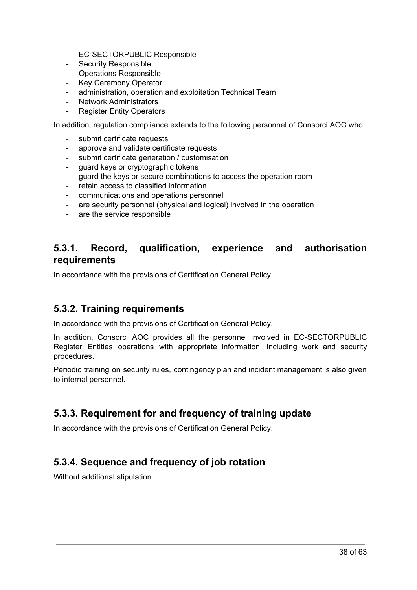- EC-SECTORPUBLIC Responsible
- Security Responsible
- Operations Responsible
- Key Ceremony Operator
- administration, operation and exploitation Technical Team
- **Network Administrators**
- **Register Entity Operators**

In addition, regulation compliance extends to the following personnel of Consorci AOC who:

- submit certificate requests
- approve and validate certificate requests
- submit certificate generation / customisation
- guard keys or cryptographic tokens
- guard the keys or secure combinations to access the operation room
- retain access to classified information
- communications and operations personnel
- are security personnel (physical and logical) involved in the operation
- are the service responsible

### <span id="page-38-0"></span>**5.3.1. Record, qualification, experience and authorisation requirements**

In accordance with the provisions of Certification General Policy.

#### <span id="page-38-1"></span>**5.3.2. Training requirements**

In accordance with the provisions of Certification General Policy.

In addition, Consorci AOC provides all the personnel involved in EC-SECTORPUBLIC Register Entities operations with appropriate information, including work and security procedures.

Periodic training on security rules, contingency plan and incident management is also given to internal personnel.

### <span id="page-38-2"></span>**5.3.3. Requirement for and frequency of training update**

In accordance with the provisions of Certification General Policy.

### <span id="page-38-3"></span>**5.3.4. Sequence and frequency of job rotation**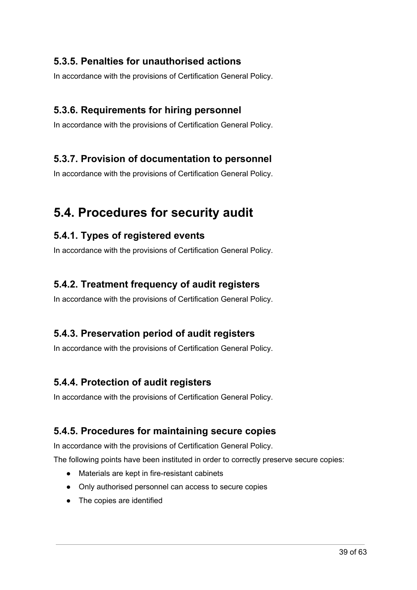### <span id="page-39-0"></span>**5.3.5. Penalties for unauthorised actions**

In accordance with the provisions of Certification General Policy.

### <span id="page-39-1"></span>**5.3.6. Requirements for hiring personnel**

In accordance with the provisions of Certification General Policy.

#### <span id="page-39-2"></span>**5.3.7. Provision of documentation to personnel**

In accordance with the provisions of Certification General Policy.

# <span id="page-39-3"></span>**5.4. Procedures for security audit**

#### <span id="page-39-4"></span>**5.4.1. Types of registered events**

In accordance with the provisions of Certification General Policy.

#### <span id="page-39-5"></span>**5.4.2. Treatment frequency of audit registers**

In accordance with the provisions of Certification General Policy.

#### <span id="page-39-6"></span>**5.4.3. Preservation period of audit registers**

In accordance with the provisions of Certification General Policy.

#### <span id="page-39-7"></span>**5.4.4. Protection of audit registers**

In accordance with the provisions of Certification General Policy.

#### <span id="page-39-8"></span>**5.4.5. Procedures for maintaining secure copies**

In accordance with the provisions of Certification General Policy.

The following points have been instituted in order to correctly preserve secure copies:

- Materials are kept in fire-resistant cabinets
- Only authorised personnel can access to secure copies
- The copies are identified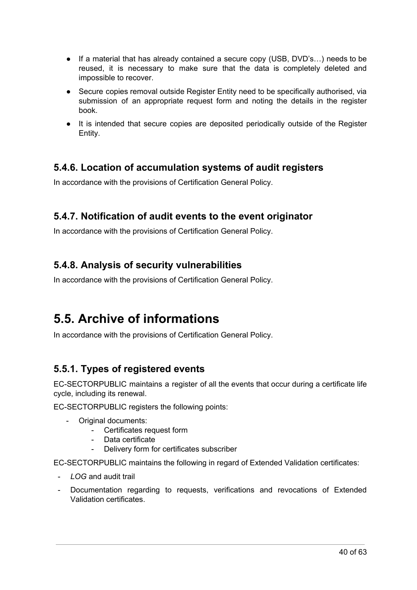- If a material that has already contained a secure copy (USB, DVD's…) needs to be reused, it is necessary to make sure that the data is completely deleted and impossible to recover.
- Secure copies removal outside Register Entity need to be specifically authorised, via submission of an appropriate request form and noting the details in the register book.
- It is intended that secure copies are deposited periodically outside of the Register Entity.

### <span id="page-40-0"></span>**5.4.6. Location of accumulation systems of audit registers**

In accordance with the provisions of Certification General Policy.

### <span id="page-40-1"></span>**5.4.7. Notification of audit events to the event originator**

In accordance with the provisions of Certification General Policy.

### <span id="page-40-2"></span>**5.4.8. Analysis of security vulnerabilities**

In accordance with the provisions of Certification General Policy.

# <span id="page-40-3"></span>**5.5. Archive of informations**

In accordance with the provisions of Certification General Policy.

### <span id="page-40-4"></span>**5.5.1. Types of registered events**

EC-SECTORPUBLIC maintains a register of all the events that occur during a certificate life cycle, including its renewal.

EC-SECTORPUBLIC registers the following points:

- Original documents:
	- Certificates request form
	- Data certificate
	- Delivery form for certificates subscriber

EC-SECTORPUBLIC maintains the following in regard of Extended Validation certificates:

- *LOG* and audit trail
- Documentation regarding to requests, verifications and revocations of Extended Validation certificates.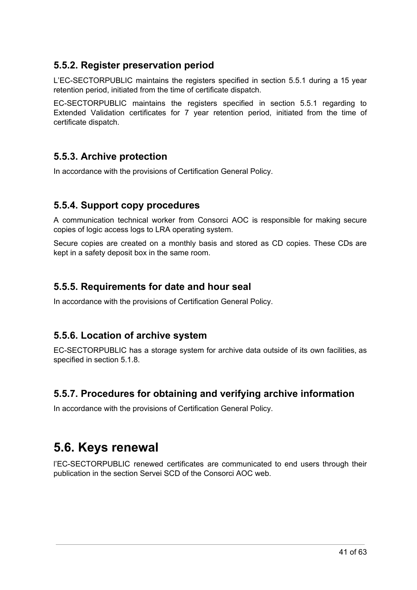#### <span id="page-41-0"></span>**5.5.2. Register preservation period**

L'EC-SECTORPUBLIC maintains the registers specified in section 5.5.1 during a 15 year retention period, initiated from the time of certificate dispatch.

EC-SECTORPUBLIC maintains the registers specified in section 5.5.1 regarding to Extended Validation certificates for 7 year retention period, initiated from the time of certificate dispatch.

### <span id="page-41-1"></span>**5.5.3. Archive protection**

In accordance with the provisions of Certification General Policy.

#### <span id="page-41-2"></span>**5.5.4. Support copy procedures**

A communication technical worker from Consorci AOC is responsible for making secure copies of logic access logs to LRA operating system.

Secure copies are created on a monthly basis and stored as CD copies. These CDs are kept in a safety deposit box in the same room.

#### <span id="page-41-3"></span>**5.5.5. Requirements for date and hour seal**

In accordance with the provisions of Certification General Policy.

### <span id="page-41-4"></span>**5.5.6. Location of archive system**

EC-SECTORPUBLIC has a storage system for archive data outside of its own facilities, as specified in section 5.1.8.

### <span id="page-41-5"></span>**5.5.7. Procedures for obtaining and verifying archive information**

In accordance with the provisions of Certification General Policy.

# <span id="page-41-6"></span>**5.6. Keys renewal**

l'EC-SECTORPUBLIC renewed certificates are communicated to end users through their publication in the section Servei SCD of the Consorci AOC web.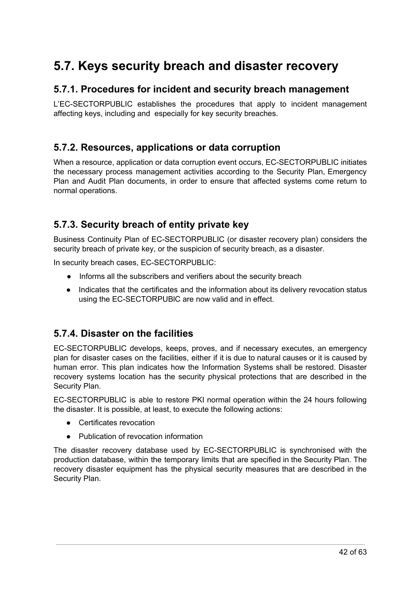# <span id="page-42-0"></span>**5.7. Keys security breach and disaster recovery**

#### <span id="page-42-1"></span>**5.7.1. Procedures for incident and security breach management**

L'EC-SECTORPUBLIC establishes the procedures that apply to incident management affecting keys, including and especially for key security breaches.

#### <span id="page-42-2"></span>**5.7.2. Resources, applications or data corruption**

When a resource, application or data corruption event occurs, EC-SECTORPUBLIC initiates the necessary process management activities according to the Security Plan, Emergency Plan and Audit Plan documents, in order to ensure that affected systems come return to normal operations.

#### <span id="page-42-3"></span>**5.7.3. Security breach of entity private key**

Business Continuity Plan of EC-SECTORPUBLIC (or disaster recovery plan) considers the security breach of private key, or the suspicion of security breach, as a disaster.

In security breach cases, EC-SECTORPUBLIC:

- Informs all the subscribers and verifiers about the security breach
- Indicates that the certificates and the information about its delivery revocation status using the EC-SECTORPUBlC are now valid and in effect.

#### <span id="page-42-4"></span>**5.7.4. Disaster on the facilities**

EC-SECTORPUBLIC develops, keeps, proves, and if necessary executes, an emergency plan for disaster cases on the facilities, either if it is due to natural causes or it is caused by human error. This plan indicates how the Information Systems shall be restored. Disaster recovery systems location has the security physical protections that are described in the Security Plan.

EC-SECTORPUBLIC is able to restore PKI normal operation within the 24 hours following the disaster. It is possible, at least, to execute the following actions:

- Certificates revocation
- Publication of revocation information

The disaster recovery database used by EC-SECTORPUBLIC is synchronised with the production database, within the temporary limits that are specified in the Security Plan. The recovery disaster equipment has the physical security measures that are described in the Security Plan.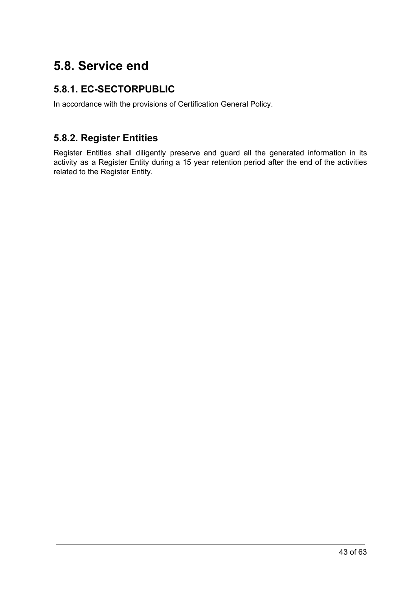# <span id="page-43-0"></span>**5.8. Service end**

### <span id="page-43-1"></span>**5.8.1. EC-SECTORPUBLIC**

In accordance with the provisions of Certification General Policy.

### <span id="page-43-2"></span>**5.8.2. Register Entities**

Register Entities shall diligently preserve and guard all the generated information in its activity as a Register Entity during a 15 year retention period after the end of the activities related to the Register Entity.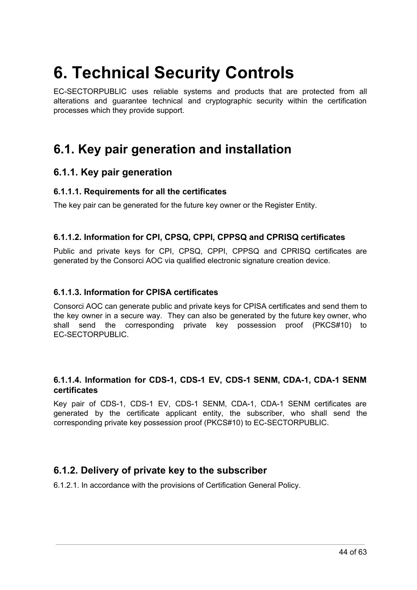# <span id="page-44-0"></span>**6. Technical Security Controls**

EC-SECTORPUBLIC uses reliable systems and products that are protected from all alterations and guarantee technical and cryptographic security within the certification processes which they provide support.

# <span id="page-44-1"></span>**6.1. Key pair generation and installation**

#### <span id="page-44-2"></span>**6.1.1. Key pair generation**

#### <span id="page-44-3"></span>**6.1.1.1. Requirements for all the certificates**

The key pair can be generated for the future key owner or the Register Entity.

#### <span id="page-44-4"></span>**6.1.1.2. Information for CPI, CPSQ, CPPI, CPPSQ and CPRISQ certificates**

Public and private keys for CPI, CPSQ, CPPI, CPPSQ and CPRISQ certificates are generated by the Consorci AOC via qualified electronic signature creation device.

#### <span id="page-44-5"></span>**6.1.1.3. Information for CPISA certificates**

Consorci AOC can generate public and private keys for CPISA certificates and send them to the key owner in a secure way. They can also be generated by the future key owner, who shall send the corresponding private key possession proof (PKCS#10) to EC-SECTORPUBLIC.

#### <span id="page-44-6"></span>**6.1.1.4. Information for CDS-1, CDS-1 EV, CDS-1 SENM, CDA-1, CDA-1 SENM certificates**

Key pair of CDS-1, CDS-1 EV, CDS-1 SENM, CDA-1, CDA-1 SENM certificates are generated by the certificate applicant entity, the subscriber, who shall send the corresponding private key possession proof (PKCS#10) to EC-SECTORPUBLIC.

#### <span id="page-44-7"></span>**6.1.2. Delivery of private key to the subscriber**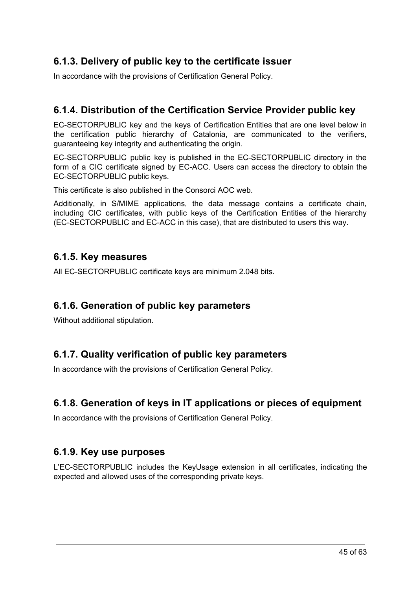### <span id="page-45-0"></span>**6.1.3. Delivery of public key to the certificate issuer**

In accordance with the provisions of Certification General Policy.

### <span id="page-45-1"></span>**6.1.4. Distribution of the Certification Service Provider public key**

EC-SECTORPUBLIC key and the keys of Certification Entities that are one level below in the certification public hierarchy of Catalonia, are communicated to the verifiers, guaranteeing key integrity and authenticating the origin.

EC-SECTORPUBLIC public key is published in the EC-SECTORPUBLIC directory in the form of a CIC certificate signed by EC-ACC. Users can access the directory to obtain the EC-SECTORPUBLIC public keys.

This certificate is also published in the Consorci AOC web.

Additionally, in S/MIME applications, the data message contains a certificate chain, including CIC certificates, with public keys of the Certification Entities of the hierarchy (EC-SECTORPUBLIC and EC-ACC in this case), that are distributed to users this way.

#### <span id="page-45-2"></span>**6.1.5. Key measures**

All EC-SECTORPUBLIC certificate keys are minimum 2.048 bits.

#### <span id="page-45-3"></span>**6.1.6. Generation of public key parameters**

Without additional stipulation.

### <span id="page-45-4"></span>**6.1.7. Quality verification of public key parameters**

In accordance with the provisions of Certification General Policy.

### <span id="page-45-5"></span>**6.1.8. Generation of keys in IT applications or pieces of equipment**

In accordance with the provisions of Certification General Policy.

#### <span id="page-45-6"></span>**6.1.9. Key use purposes**

L'EC-SECTORPUBLIC includes the KeyUsage extension in all certificates, indicating the expected and allowed uses of the corresponding private keys.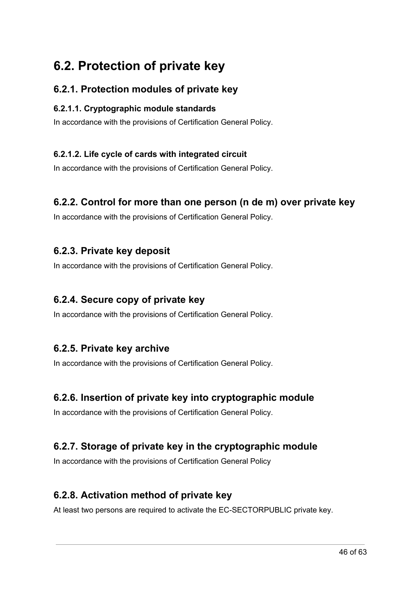# <span id="page-46-0"></span>**6.2. Protection of private key**

### <span id="page-46-1"></span>**6.2.1. Protection modules of private key**

#### <span id="page-46-2"></span>**6.2.1.1. Cryptographic module standards**

In accordance with the provisions of Certification General Policy.

#### <span id="page-46-3"></span>**6.2.1.2. Life cycle of cards with integrated circuit**

In accordance with the provisions of Certification General Policy.

#### <span id="page-46-4"></span>**6.2.2. Control for more than one person (n de m) over private key**

In accordance with the provisions of Certification General Policy.

#### <span id="page-46-5"></span>**6.2.3. Private key deposit**

In accordance with the provisions of Certification General Policy.

#### <span id="page-46-6"></span>**6.2.4. Secure copy of private key**

In accordance with the provisions of Certification General Policy.

#### <span id="page-46-7"></span>**6.2.5. Private key archive**

In accordance with the provisions of Certification General Policy.

#### <span id="page-46-8"></span>**6.2.6. Insertion of private key into cryptographic module**

In accordance with the provisions of Certification General Policy.

### <span id="page-46-9"></span>**6.2.7. Storage of private key in the cryptographic module**

In accordance with the provisions of Certification General Policy

#### <span id="page-46-10"></span>**6.2.8. Activation method of private key**

At least two persons are required to activate the EC-SECTORPUBLIC private key.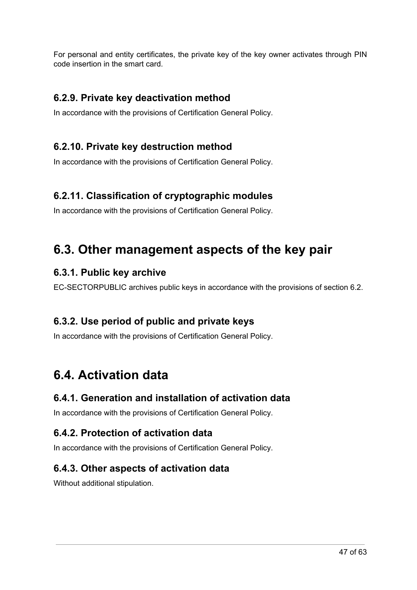For personal and entity certificates, the private key of the key owner activates through PIN code insertion in the smart card.

### <span id="page-47-0"></span>**6.2.9. Private key deactivation method**

In accordance with the provisions of Certification General Policy.

### <span id="page-47-1"></span>**6.2.10. Private key destruction method**

In accordance with the provisions of Certification General Policy.

### <span id="page-47-2"></span>**6.2.11. Classification of cryptographic modules**

In accordance with the provisions of Certification General Policy.

# <span id="page-47-3"></span>**6.3. Other management aspects of the key pair**

### <span id="page-47-4"></span>**6.3.1. Public key archive**

EC-SECTORPUBLIC archives public keys in accordance with the provisions of section 6.2.

### <span id="page-47-5"></span>**6.3.2. Use period of public and private keys**

In accordance with the provisions of Certification General Policy.

# <span id="page-47-6"></span>**6.4. Activation data**

### <span id="page-47-7"></span>**6.4.1. Generation and installation of activation data**

In accordance with the provisions of Certification General Policy.

### <span id="page-47-8"></span>**6.4.2. Protection of activation data**

<span id="page-47-9"></span>In accordance with the provisions of Certification General Policy.

### **6.4.3. Other aspects of activation data**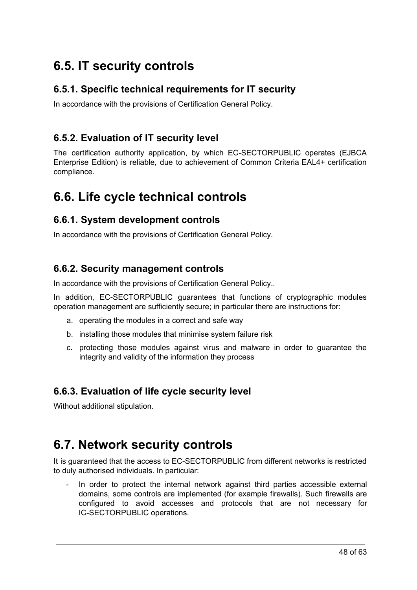# <span id="page-48-0"></span>**6.5. IT security controls**

### <span id="page-48-1"></span>**6.5.1. Specific technical requirements for IT security**

In accordance with the provisions of Certification General Policy.

### <span id="page-48-2"></span>**6.5.2. Evaluation of IT security level**

The certification authority application, by which EC-SECTORPUBLIC operates (EJBCA Enterprise Edition) is reliable, due to achievement of Common Criteria EAL4+ certification compliance.

# <span id="page-48-3"></span>**6.6. Life cycle technical controls**

#### <span id="page-48-4"></span>**6.6.1. System development controls**

In accordance with the provisions of Certification General Policy.

#### <span id="page-48-5"></span>**6.6.2. Security management controls**

In accordance with the provisions of Certification General Policy..

In addition, EC-SECTORPUBLIC guarantees that functions of cryptographic modules operation management are sufficiently secure; in particular there are instructions for:

- a. operating the modules in a correct and safe way
- b. installing those modules that minimise system failure risk
- c. protecting those modules against virus and malware in order to guarantee the integrity and validity of the information they process

### <span id="page-48-6"></span>**6.6.3. Evaluation of life cycle security level**

Without additional stipulation.

# <span id="page-48-7"></span>**6.7. Network security controls**

It is guaranteed that the access to EC-SECTORPUBLIC from different networks is restricted to duly authorised individuals. In particular:

In order to protect the internal network against third parties accessible external domains, some controls are implemented (for example firewalls). Such firewalls are configured to avoid accesses and protocols that are not necessary for IC-SECTORPUBLIC operations.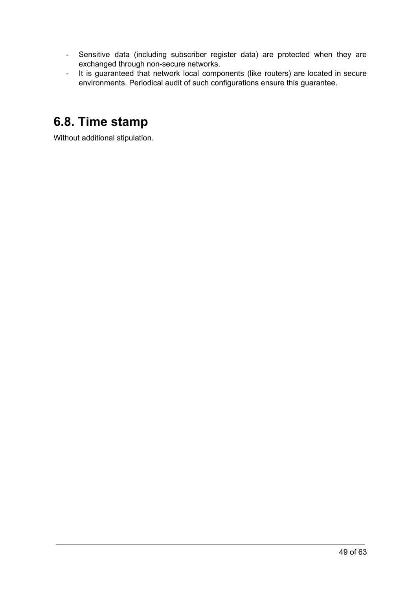- Sensitive data (including subscriber register data) are protected when they are exchanged through non-secure networks.
- It is guaranteed that network local components (like routers) are located in secure environments. Periodical audit of such configurations ensure this guarantee.

# <span id="page-49-0"></span>**6.8. Time stamp**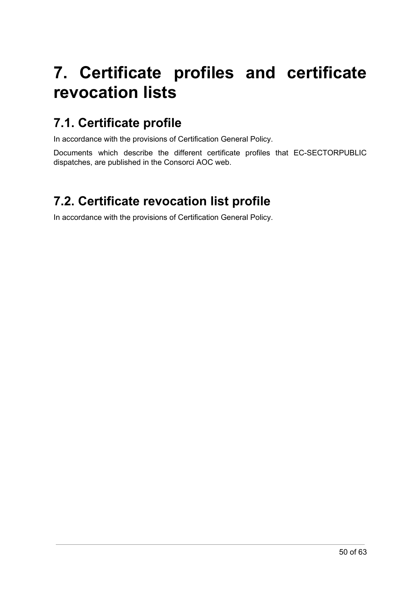# <span id="page-50-0"></span>**7. Certificate profiles and certificate revocation lists**

# <span id="page-50-1"></span>**7.1. Certificate profile**

In accordance with the provisions of Certification General Policy.

Documents which describe the different certificate profiles that EC-SECTORPUBLIC dispatches, are published in the Consorci AOC web.

# <span id="page-50-2"></span>**7.2. Certificate revocation list profile**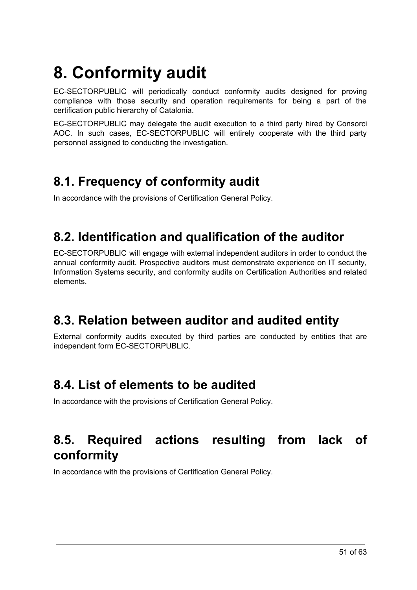# <span id="page-51-0"></span>**8. Conformity audit**

EC-SECTORPUBLIC will periodically conduct conformity audits designed for proving compliance with those security and operation requirements for being a part of the certification public hierarchy of Catalonia.

EC-SECTORPUBLIC may delegate the audit execution to a third party hired by Consorci AOC. In such cases, EC-SECTORPUBLIC will entirely cooperate with the third party personnel assigned to conducting the investigation.

# <span id="page-51-1"></span>**8.1. Frequency of conformity audit**

In accordance with the provisions of Certification General Policy.

# <span id="page-51-2"></span>**8.2. Identification and qualification of the auditor**

EC-SECTORPUBLIC will engage with external independent auditors in order to conduct the annual conformity audit. Prospective auditors must demonstrate experience on IT security, Information Systems security, and conformity audits on Certification Authorities and related elements.

# <span id="page-51-3"></span>**8.3. Relation between auditor and audited entity**

External conformity audits executed by third parties are conducted by entities that are independent form EC-SECTORPUBLIC.

# <span id="page-51-4"></span>**8.4. List of elements to be audited**

In accordance with the provisions of Certification General Policy.

# <span id="page-51-5"></span>**8.5. Required actions resulting from lack of conformity**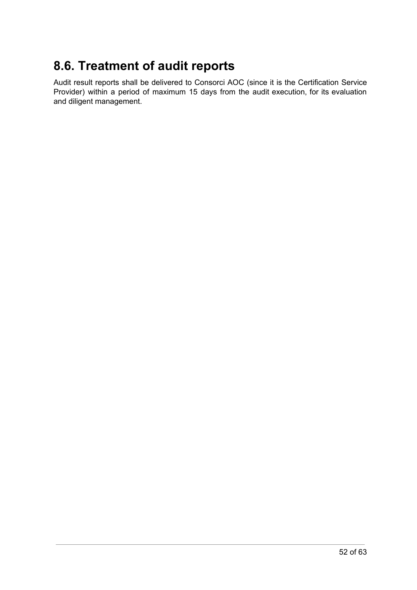# <span id="page-52-0"></span>**8.6. Treatment of audit reports**

Audit result reports shall be delivered to Consorci AOC (since it is the Certification Service Provider) within a period of maximum 15 days from the audit execution, for its evaluation and diligent management.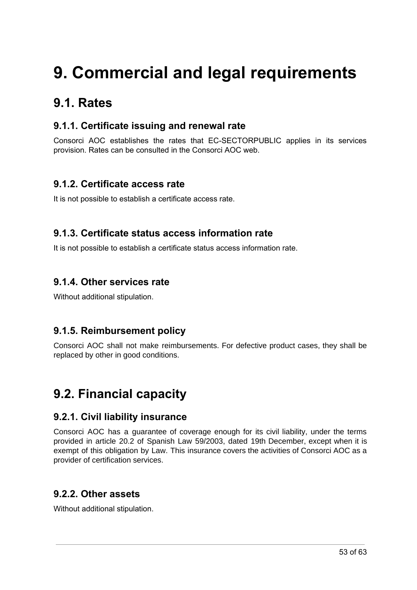# <span id="page-53-0"></span>**9. Commercial and legal requirements**

## <span id="page-53-1"></span>**9.1. Rates**

### <span id="page-53-2"></span>**9.1.1. Certificate issuing and renewal rate**

Consorci AOC establishes the rates that EC-SECTORPUBLIC applies in its services provision. Rates can be consulted in the Consorci AOC web.

### <span id="page-53-3"></span>**9.1.2. Certificate access rate**

It is not possible to establish a certificate access rate.

#### <span id="page-53-4"></span>**9.1.3. Certificate status access information rate**

It is not possible to establish a certificate status access information rate.

#### <span id="page-53-5"></span>**9.1.4. Other services rate**

Without additional stipulation.

### <span id="page-53-6"></span>**9.1.5. Reimbursement policy**

Consorci AOC shall not make reimbursements. For defective product cases, they shall be replaced by other in good conditions.

# <span id="page-53-7"></span>**9.2. Financial capacity**

#### <span id="page-53-8"></span>**9.2.1. Civil liability insurance**

Consorci AOC has a guarantee of coverage enough for its civil liability, under the terms provided in article 20.2 of Spanish Law 59/2003, dated 19th December, except when it is exempt of this obligation by Law. This insurance covers the activities of Consorci AOC as a provider of certification services.

### <span id="page-53-9"></span>**9.2.2. Other assets**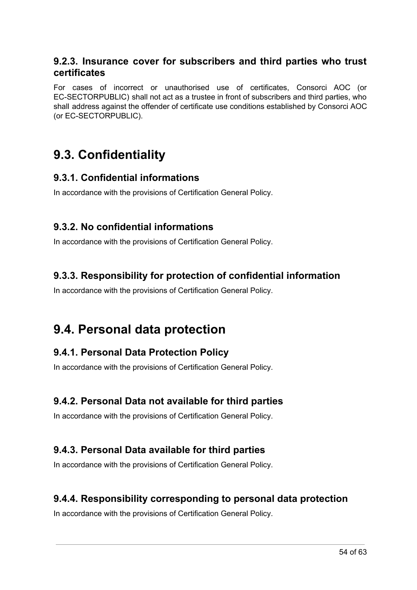#### <span id="page-54-0"></span>**9.2.3. Insurance cover for subscribers and third parties who trust certificates**

For cases of incorrect or unauthorised use of certificates, Consorci AOC (or EC-SECTORPUBLIC) shall not act as a trustee in front of subscribers and third parties, who shall address against the offender of certificate use conditions established by Consorci AOC (or EC-SECTORPUBLIC).

## <span id="page-54-1"></span>**9.3. Confidentiality**

#### <span id="page-54-2"></span>**9.3.1. Confidential informations**

In accordance with the provisions of Certification General Policy.

#### <span id="page-54-3"></span>**9.3.2. No confidential informations**

In accordance with the provisions of Certification General Policy.

#### <span id="page-54-4"></span>**9.3.3. Responsibility for protection of confidential information**

In accordance with the provisions of Certification General Policy.

# <span id="page-54-5"></span>**9.4. Personal data protection**

#### <span id="page-54-6"></span>**9.4.1. Personal Data Protection Policy**

In accordance with the provisions of Certification General Policy.

#### <span id="page-54-7"></span>**9.4.2. Personal Data not available for third parties**

In accordance with the provisions of Certification General Policy.

### <span id="page-54-8"></span>**9.4.3. Personal Data available for third parties**

In accordance with the provisions of Certification General Policy.

#### <span id="page-54-9"></span>**9.4.4. Responsibility corresponding to personal data protection**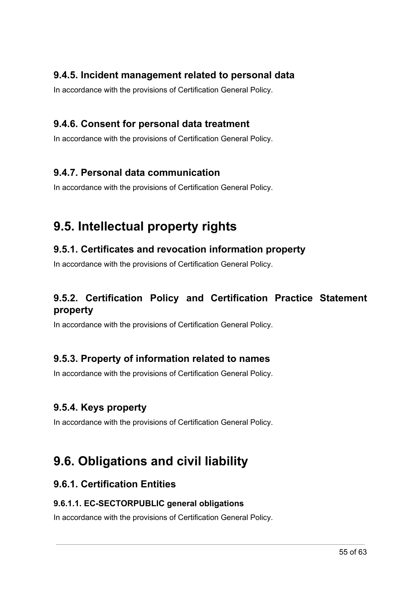### <span id="page-55-0"></span>**9.4.5. Incident management related to personal data**

In accordance with the provisions of Certification General Policy.

### <span id="page-55-1"></span>**9.4.6. Consent for personal data treatment**

In accordance with the provisions of Certification General Policy.

### <span id="page-55-2"></span>**9.4.7. Personal data communication**

In accordance with the provisions of Certification General Policy.

# <span id="page-55-3"></span>**9.5. Intellectual property rights**

### <span id="page-55-4"></span>**9.5.1. Certificates and revocation information property**

In accordance with the provisions of Certification General Policy.

### <span id="page-55-5"></span>**9.5.2. Certification Policy and Certification Practice Statement property**

In accordance with the provisions of Certification General Policy.

### <span id="page-55-6"></span>**9.5.3. Property of information related to names**

In accordance with the provisions of Certification General Policy.

### <span id="page-55-7"></span>**9.5.4. Keys property**

In accordance with the provisions of Certification General Policy.

# <span id="page-55-8"></span>**9.6. Obligations and civil liability**

### <span id="page-55-9"></span>**9.6.1. Certification Entities**

#### <span id="page-55-10"></span>**9.6.1.1. EC-SECTORPUBLIC general obligations**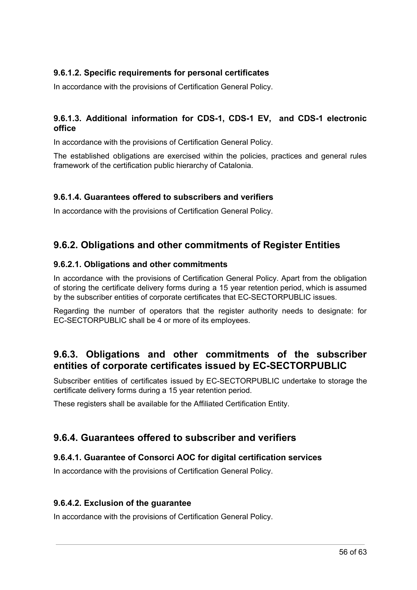#### <span id="page-56-0"></span>**9.6.1.2. Specific requirements for personal certificates**

In accordance with the provisions of Certification General Policy.

#### <span id="page-56-1"></span>**9.6.1.3. Additional information for CDS-1, CDS-1 EV, and CDS-1 electronic office**

In accordance with the provisions of Certification General Policy.

The established obligations are exercised within the policies, practices and general rules framework of the certification public hierarchy of Catalonia.

#### <span id="page-56-2"></span>**9.6.1.4. Guarantees offered to subscribers and verifiers**

In accordance with the provisions of Certification General Policy.

#### <span id="page-56-3"></span>**9.6.2. Obligations and other commitments of Register Entities**

#### <span id="page-56-4"></span>**9.6.2.1. Obligations and other commitments**

In accordance with the provisions of Certification General Policy. Apart from the obligation of storing the certificate delivery forms during a 15 year retention period, which is assumed by the subscriber entities of corporate certificates that EC-SECTORPUBLIC issues.

Regarding the number of operators that the register authority needs to designate: for EC-SECTORPUBLIC shall be 4 or more of its employees.

#### <span id="page-56-5"></span>**9.6.3. Obligations and other commitments of the subscriber entities of corporate certificates issued by EC-SECTORPUBLIC**

Subscriber entities of certificates issued by EC-SECTORPUBLIC undertake to storage the certificate delivery forms during a 15 year retention period.

These registers shall be available for the Affiliated Certification Entity.

#### <span id="page-56-6"></span>**9.6.4. Guarantees offered to subscriber and verifiers**

#### <span id="page-56-7"></span>**9.6.4.1. Guarantee of Consorci AOC for digital certification services**

In accordance with the provisions of Certification General Policy.

#### <span id="page-56-8"></span>**9.6.4.2. Exclusion of the guarantee**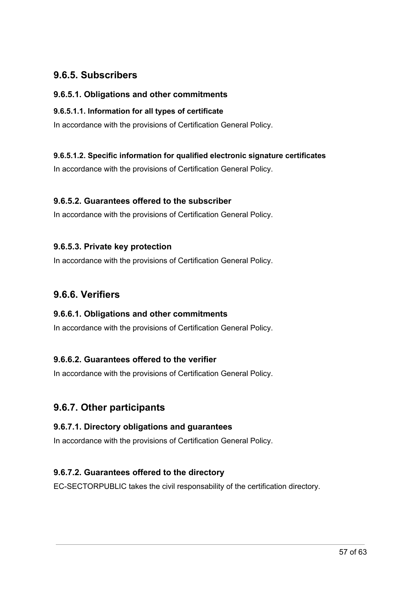### <span id="page-57-0"></span>**9.6.5. Subscribers**

#### <span id="page-57-1"></span>**9.6.5.1. Obligations and other commitments**

#### <span id="page-57-2"></span>**9.6.5.1.1. Information for all types of certificate**

In accordance with the provisions of Certification General Policy.

#### <span id="page-57-3"></span>**9.6.5.1.2. Specific information for qualified electronic signature certificates**

In accordance with the provisions of Certification General Policy.

#### <span id="page-57-4"></span>**9.6.5.2. Guarantees offered to the subscriber**

In accordance with the provisions of Certification General Policy.

#### <span id="page-57-5"></span>**9.6.5.3. Private key protection**

In accordance with the provisions of Certification General Policy.

#### <span id="page-57-6"></span>**9.6.6. Verifiers**

#### <span id="page-57-7"></span>**9.6.6.1. Obligations and other commitments**

In accordance with the provisions of Certification General Policy.

#### <span id="page-57-8"></span>**9.6.6.2. Guarantees offered to the verifier**

In accordance with the provisions of Certification General Policy.

### <span id="page-57-9"></span>**9.6.7. Other participants**

#### <span id="page-57-10"></span>**9.6.7.1. Directory obligations and guarantees**

In accordance with the provisions of Certification General Policy.

#### <span id="page-57-11"></span>**9.6.7.2. Guarantees offered to the directory**

EC-SECTORPUBLIC takes the civil responsability of the certification directory.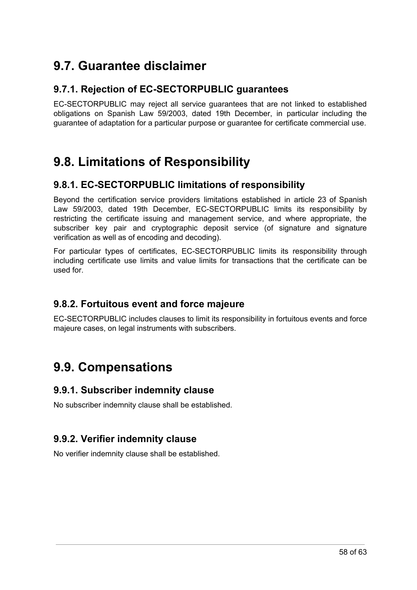# <span id="page-58-0"></span>**9.7. Guarantee disclaimer**

### <span id="page-58-1"></span>**9.7.1. Rejection of EC-SECTORPUBLIC guarantees**

EC-SECTORPUBLIC may reject all service guarantees that are not linked to established obligations on Spanish Law 59/2003, dated 19th December, in particular including the guarantee of adaptation for a particular purpose or guarantee for certificate commercial use.

# <span id="page-58-2"></span>**9.8. Limitations of Responsibility**

### <span id="page-58-3"></span>**9.8.1. EC-SECTORPUBLIC limitations of responsibility**

Beyond the certification service providers limitations established in article 23 of Spanish Law 59/2003, dated 19th December, EC-SECTORPUBLIC limits its responsibility by restricting the certificate issuing and management service, and where appropriate, the subscriber key pair and cryptographic deposit service (of signature and signature verification as well as of encoding and decoding).

For particular types of certificates, EC-SECTORPUBLIC limits its responsibility through including certificate use limits and value limits for transactions that the certificate can be used for.

### <span id="page-58-4"></span>**9.8.2. Fortuitous event and force majeure**

EC-SECTORPUBLIC includes clauses to limit its responsibility in fortuitous events and force majeure cases, on legal instruments with subscribers.

# <span id="page-58-5"></span>**9.9. Compensations**

#### <span id="page-58-6"></span>**9.9.1. Subscriber indemnity clause**

No subscriber indemnity clause shall be established.

### <span id="page-58-7"></span>**9.9.2. Verifier indemnity clause**

No verifier indemnity clause shall be established.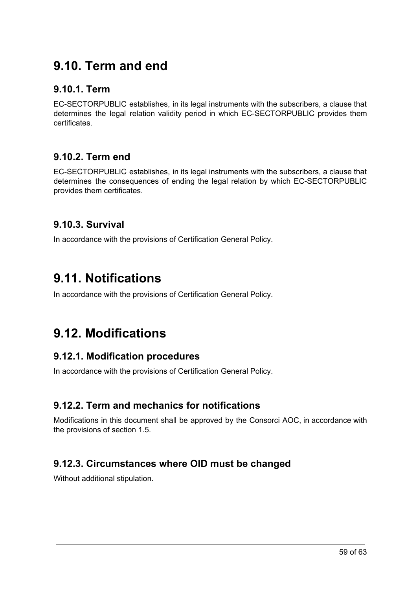# <span id="page-59-0"></span>**9.10. Term and end**

#### <span id="page-59-1"></span>**9.10.1. Term**

EC-SECTORPUBLIC establishes, in its legal instruments with the subscribers, a clause that determines the legal relation validity period in which EC-SECTORPUBLIC provides them certificates.

### <span id="page-59-2"></span>**9.10.2. Term end**

EC-SECTORPUBLIC establishes, in its legal instruments with the subscribers, a clause that determines the consequences of ending the legal relation by which EC-SECTORPUBLIC provides them certificates.

### <span id="page-59-3"></span>**9.10.3. Survival**

In accordance with the provisions of Certification General Policy.

## <span id="page-59-4"></span>**9.11. Notifications**

In accordance with the provisions of Certification General Policy.

# <span id="page-59-5"></span>**9.12. Modifications**

#### <span id="page-59-6"></span>**9.12.1. Modification procedures**

In accordance with the provisions of Certification General Policy.

### <span id="page-59-7"></span>**9.12.2. Term and mechanics for notifications**

Modifications in this document shall be approved by the Consorci AOC, in accordance with the provisions of section 1.5.

### <span id="page-59-8"></span>**9.12.3. Circumstances where OID must be changed**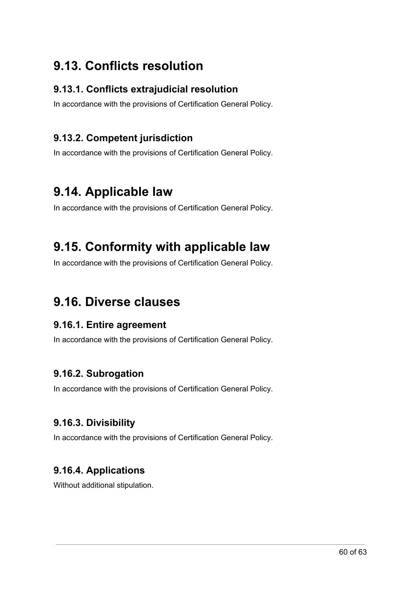# <span id="page-60-0"></span>**9.13. Conflicts resolution**

#### <span id="page-60-1"></span>**9.13.1. Conflicts extrajudicial resolution**

In accordance with the provisions of Certification General Policy.

### <span id="page-60-2"></span>**9.13.2. Competent jurisdiction**

In accordance with the provisions of Certification General Policy.

# <span id="page-60-3"></span>**9.14. Applicable law**

In accordance with the provisions of Certification General Policy.

# <span id="page-60-4"></span>**9.15. Conformity with applicable law**

In accordance with the provisions of Certification General Policy.

## <span id="page-60-5"></span>**9.16. Diverse clauses**

#### <span id="page-60-6"></span>**9.16.1. Entire agreement**

In accordance with the provisions of Certification General Policy.

### <span id="page-60-7"></span>**9.16.2. Subrogation**

In accordance with the provisions of Certification General Policy.

### <span id="page-60-8"></span>**9.16.3. Divisibility**

In accordance with the provisions of Certification General Policy.

### <span id="page-60-9"></span>**9.16.4. Applications**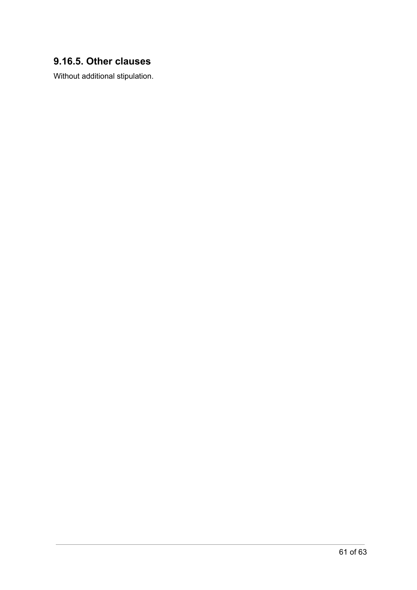### <span id="page-61-1"></span><span id="page-61-0"></span>**9.16.5. Other clauses**